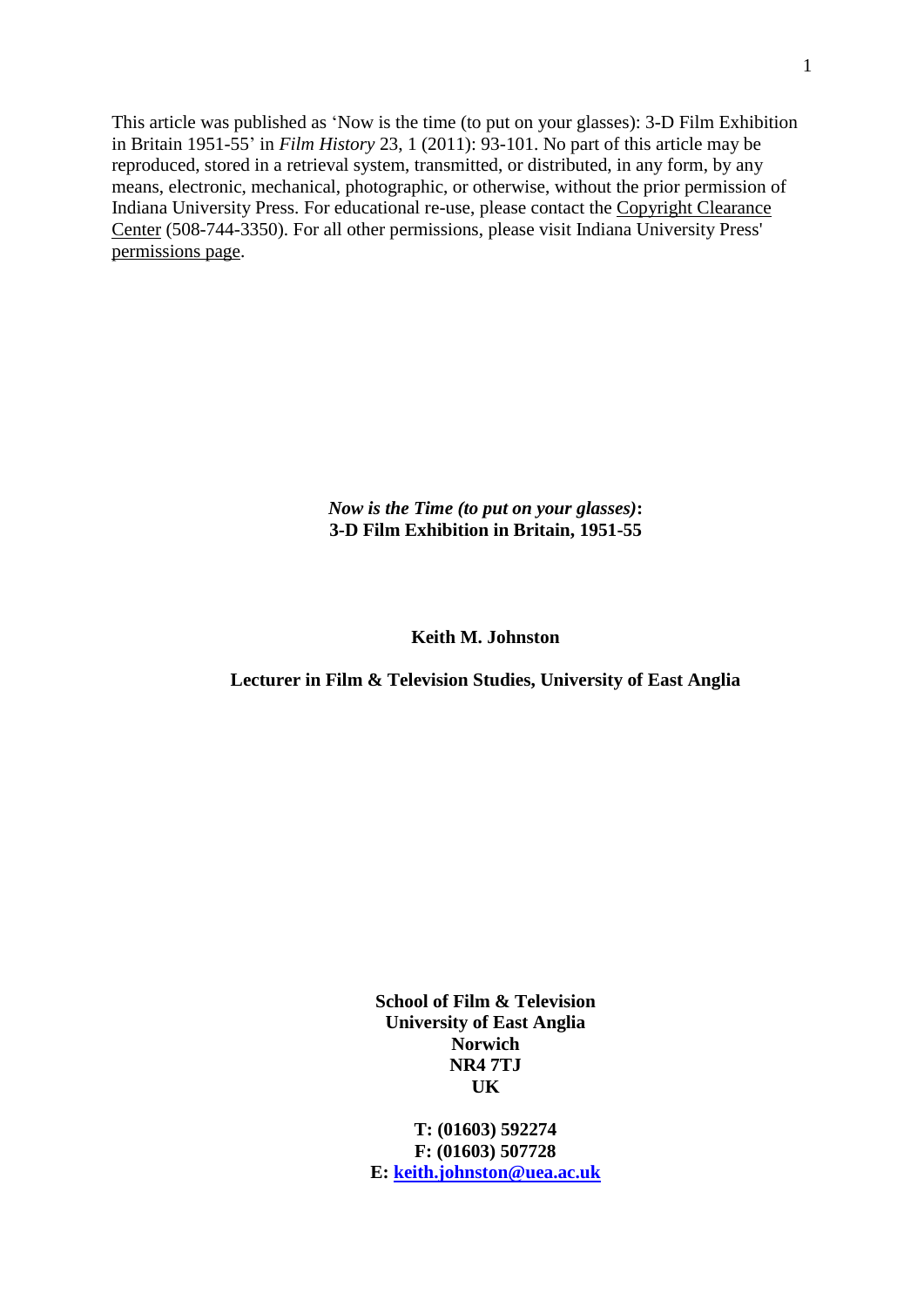This article was published as 'Now is the time (to put on your glasses): 3-D Film Exhibition in Britain 1951-55' in *Film History* 23, 1 (2011): 93-101. No part of this article may be reproduced, stored in a retrieval system, transmitted, or distributed, in any form, by any means, electronic, mechanical, photographic, or otherwise, without the prior permission of Indiana University Press. For educational re-use, please contact the [Copyright Clearance](http://www.copyright.com/)  [Center](http://www.copyright.com/) (508-744-3350). For all other permissions, please visit Indiana University Press' [permissions page.](http://www.indiana.edu/~iupress/rights/rightsjournal.html)

> *Now is the Time (to put on your glasses)***: 3-D Film Exhibition in Britain, 1951-55**

# **Keith M. Johnston**

# **Lecturer in Film & Television Studies, University of East Anglia**

**School of Film & Television University of East Anglia Norwich NR4 7TJ UK**

**T: (01603) 592274 F: (01603) 507728 E: [keith.johnston@uea.ac.uk](mailto:keith.johnston@uea.ac.uk)**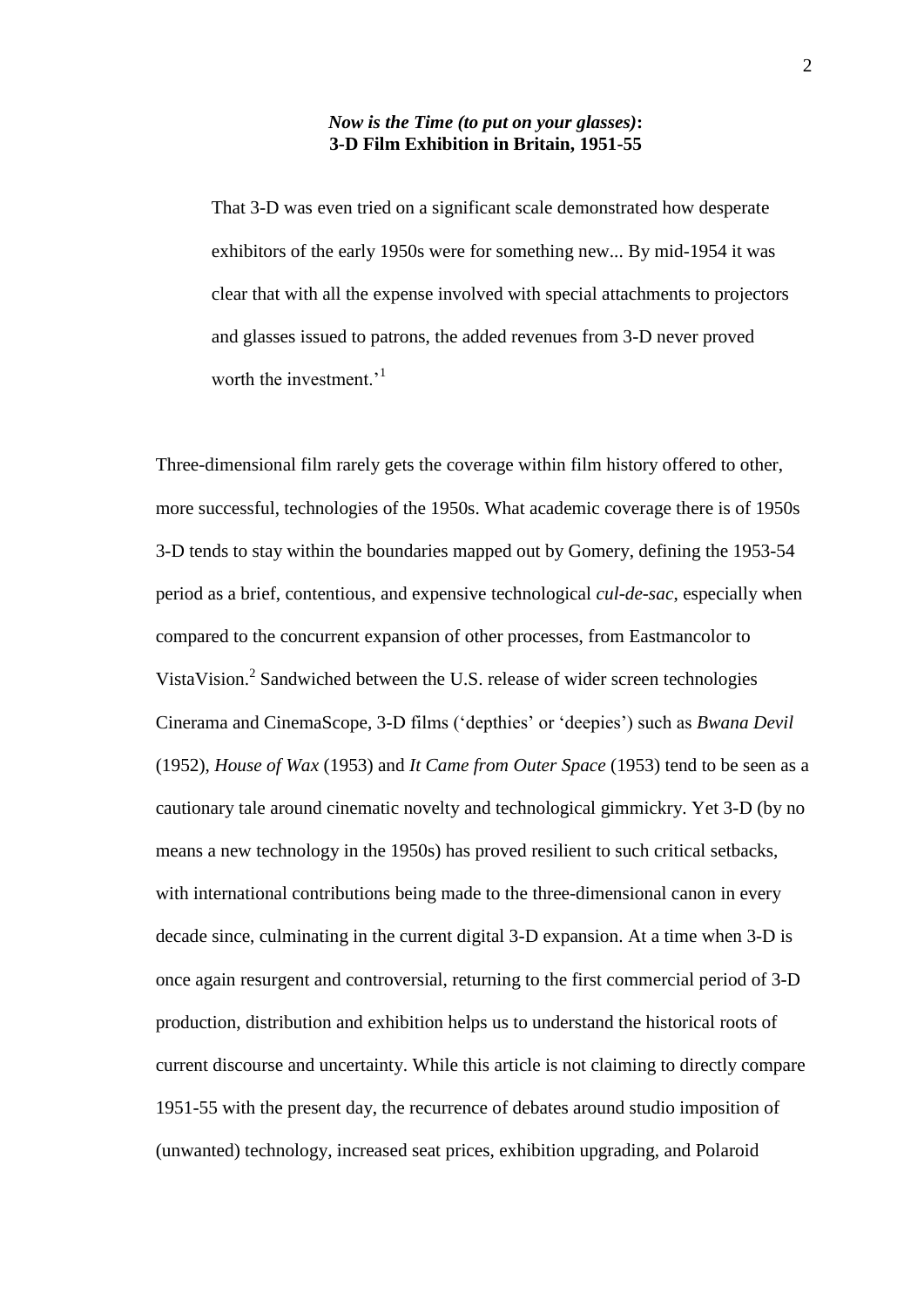### *Now is the Time (to put on your glasses)***: 3-D Film Exhibition in Britain, 1951-55**

That 3-D was even tried on a significant scale demonstrated how desperate exhibitors of the early 1950s were for something new... By mid-1954 it was clear that with all the expense involved with special attachments to projectors and glasses issued to patrons, the added revenues from 3-D never proved worth the investment.<sup> $1$ </sup>

Three-dimensional film rarely gets the coverage within film history offered to other, more successful, technologies of the 1950s. What academic coverage there is of 1950s 3-D tends to stay within the boundaries mapped out by Gomery, defining the 1953-54 period as a brief, contentious, and expensive technological *cul-de-sac*, especially when compared to the concurrent expansion of other processes, from Eastmancolor to VistaVision. 2 Sandwiched between the U.S. release of wider screen technologies Cinerama and CinemaScope, 3-D films ('depthies' or 'deepies') such as *Bwana Devil* (1952), *House of Wax* (1953) and *It Came from Outer Space* (1953) tend to be seen as a cautionary tale around cinematic novelty and technological gimmickry. Yet 3-D (by no means a new technology in the 1950s) has proved resilient to such critical setbacks, with international contributions being made to the three-dimensional canon in every decade since, culminating in the current digital 3-D expansion. At a time when 3-D is once again resurgent and controversial, returning to the first commercial period of 3-D production, distribution and exhibition helps us to understand the historical roots of current discourse and uncertainty. While this article is not claiming to directly compare 1951-55 with the present day, the recurrence of debates around studio imposition of (unwanted) technology, increased seat prices, exhibition upgrading, and Polaroid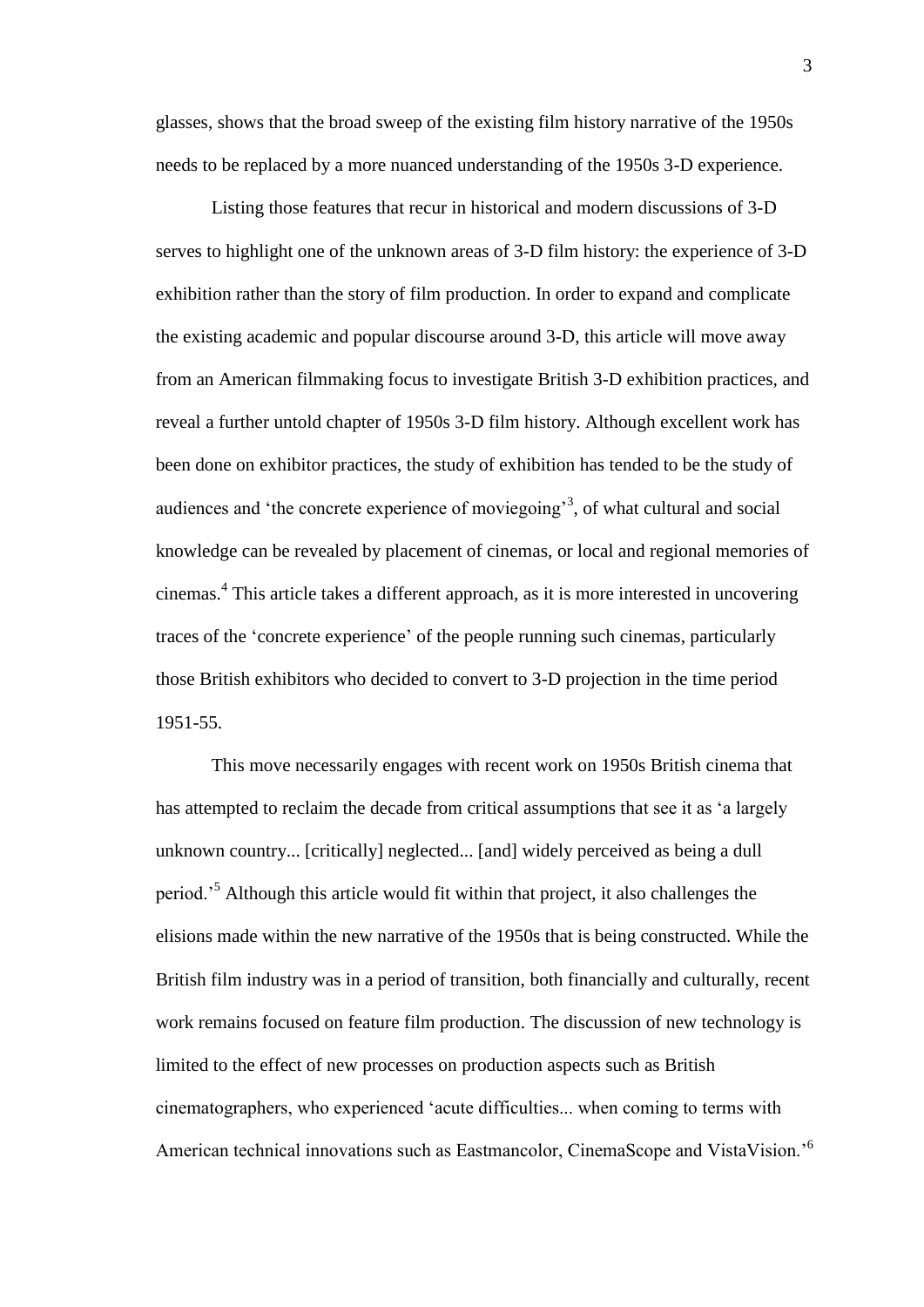glasses, shows that the broad sweep of the existing film history narrative of the 1950s needs to be replaced by a more nuanced understanding of the 1950s 3-D experience.

Listing those features that recur in historical and modern discussions of 3-D serves to highlight one of the unknown areas of 3-D film history: the experience of 3-D exhibition rather than the story of film production. In order to expand and complicate the existing academic and popular discourse around 3-D, this article will move away from an American filmmaking focus to investigate British 3-D exhibition practices, and reveal a further untold chapter of 1950s 3-D film history. Although excellent work has been done on exhibitor practices, the study of exhibition has tended to be the study of audiences and 'the concrete experience of moviegoing'<sup>3</sup>, of what cultural and social knowledge can be revealed by placement of cinemas, or local and regional memories of cinemas.<sup>4</sup> This article takes a different approach, as it is more interested in uncovering traces of the 'concrete experience' of the people running such cinemas, particularly those British exhibitors who decided to convert to 3-D projection in the time period 1951-55.

This move necessarily engages with recent work on 1950s British cinema that has attempted to reclaim the decade from critical assumptions that see it as 'a largely unknown country... [critically] neglected... [and] widely perceived as being a dull period.'<sup>5</sup> Although this article would fit within that project, it also challenges the elisions made within the new narrative of the 1950s that is being constructed. While the British film industry was in a period of transition, both financially and culturally, recent work remains focused on feature film production. The discussion of new technology is limited to the effect of new processes on production aspects such as British cinematographers, who experienced 'acute difficulties... when coming to terms with American technical innovations such as Eastmancolor, CinemaScope and VistaVision.<sup>56</sup>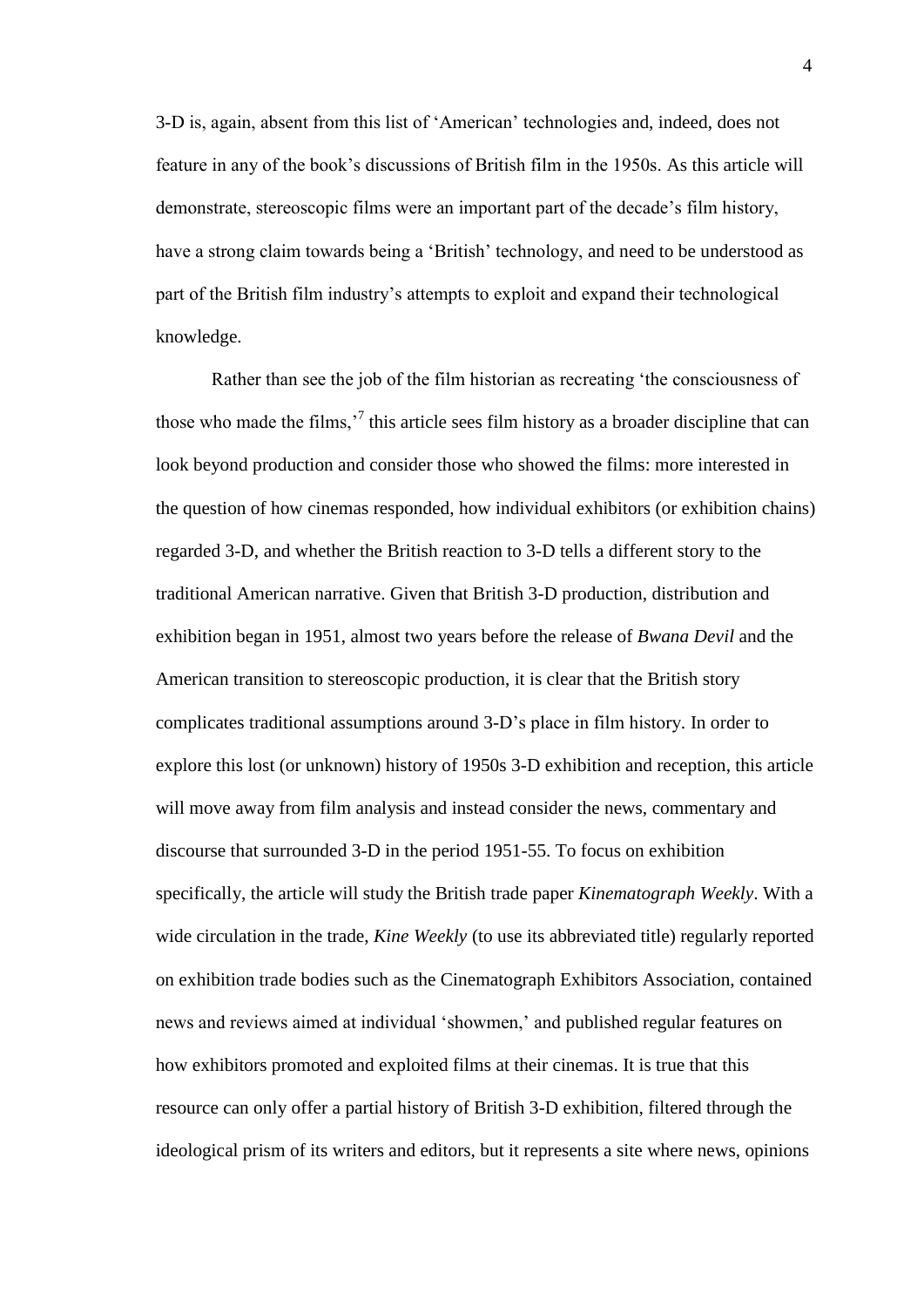3-D is, again, absent from this list of 'American' technologies and, indeed, does not feature in any of the book's discussions of British film in the 1950s. As this article will demonstrate, stereoscopic films were an important part of the decade's film history, have a strong claim towards being a 'British' technology, and need to be understood as part of the British film industry's attempts to exploit and expand their technological knowledge.

Rather than see the job of the film historian as recreating 'the consciousness of those who made the films,<sup> $\frac{7}{7}$ </sup> this article sees film history as a broader discipline that can look beyond production and consider those who showed the films: more interested in the question of how cinemas responded, how individual exhibitors (or exhibition chains) regarded 3-D, and whether the British reaction to 3-D tells a different story to the traditional American narrative. Given that British 3-D production, distribution and exhibition began in 1951, almost two years before the release of *Bwana Devil* and the American transition to stereoscopic production, it is clear that the British story complicates traditional assumptions around 3-D's place in film history. In order to explore this lost (or unknown) history of 1950s 3-D exhibition and reception, this article will move away from film analysis and instead consider the news, commentary and discourse that surrounded 3-D in the period 1951-55. To focus on exhibition specifically, the article will study the British trade paper *Kinematograph Weekly*. With a wide circulation in the trade, *Kine Weekly* (to use its abbreviated title) regularly reported on exhibition trade bodies such as the Cinematograph Exhibitors Association, contained news and reviews aimed at individual 'showmen,' and published regular features on how exhibitors promoted and exploited films at their cinemas. It is true that this resource can only offer a partial history of British 3-D exhibition, filtered through the ideological prism of its writers and editors, but it represents a site where news, opinions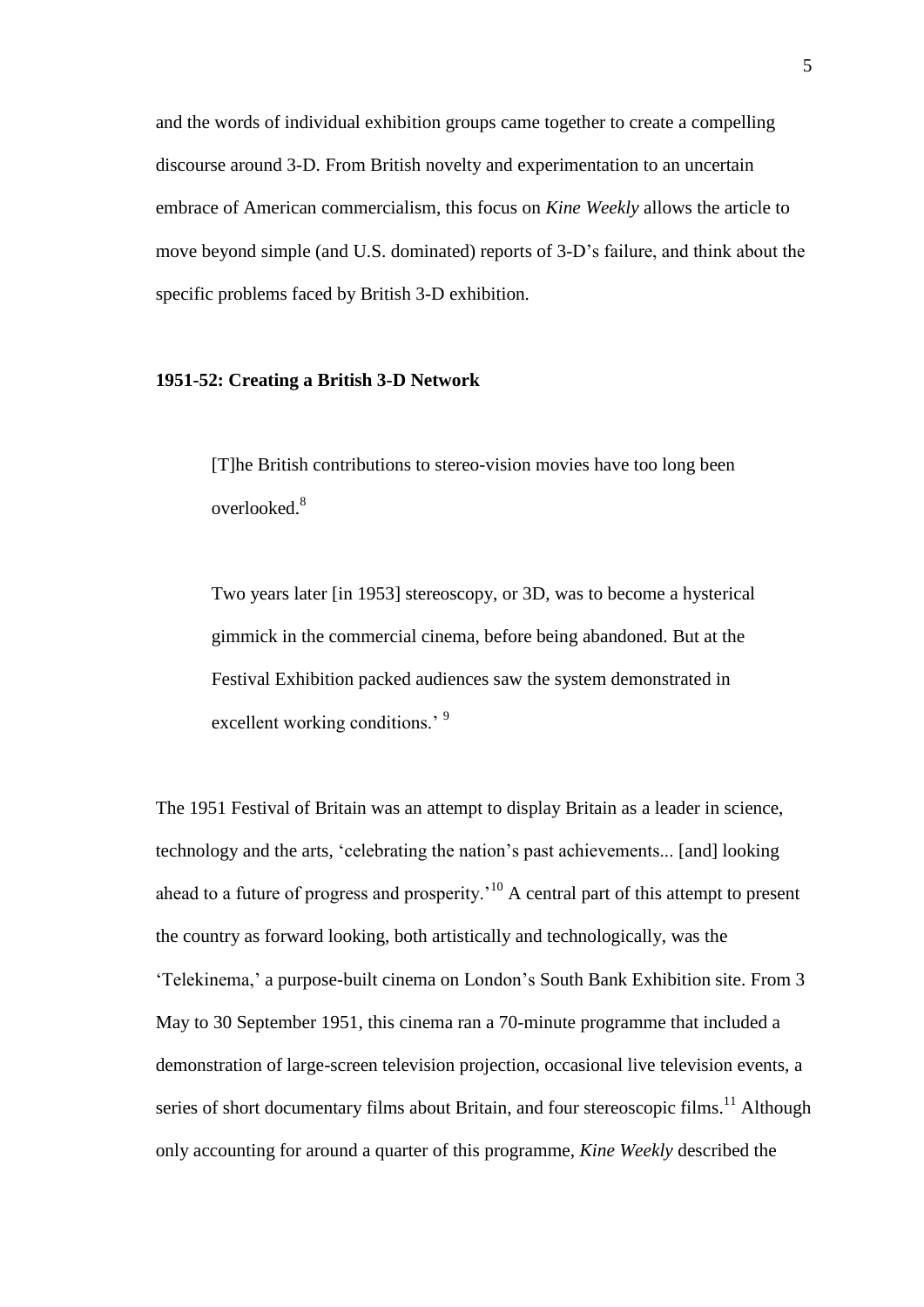and the words of individual exhibition groups came together to create a compelling discourse around 3-D. From British novelty and experimentation to an uncertain embrace of American commercialism, this focus on *Kine Weekly* allows the article to move beyond simple (and U.S. dominated) reports of 3-D's failure, and think about the specific problems faced by British 3-D exhibition.

### **1951-52: Creating a British 3-D Network**

[T]he British contributions to stereo-vision movies have too long been overlooked.<sup>8</sup>

Two years later [in 1953] stereoscopy, or 3D, was to become a hysterical gimmick in the commercial cinema, before being abandoned. But at the Festival Exhibition packed audiences saw the system demonstrated in excellent working conditions.<sup>9</sup>

The 1951 Festival of Britain was an attempt to display Britain as a leader in science, technology and the arts, 'celebrating the nation's past achievements... [and] looking ahead to a future of progress and prosperity.'<sup>10</sup> A central part of this attempt to present the country as forward looking, both artistically and technologically, was the 'Telekinema,' a purpose-built cinema on London's South Bank Exhibition site. From 3 May to 30 September 1951, this cinema ran a 70-minute programme that included a demonstration of large-screen television projection, occasional live television events, a series of short documentary films about Britain, and four stereoscopic films.<sup>11</sup> Although only accounting for around a quarter of this programme, *Kine Weekly* described the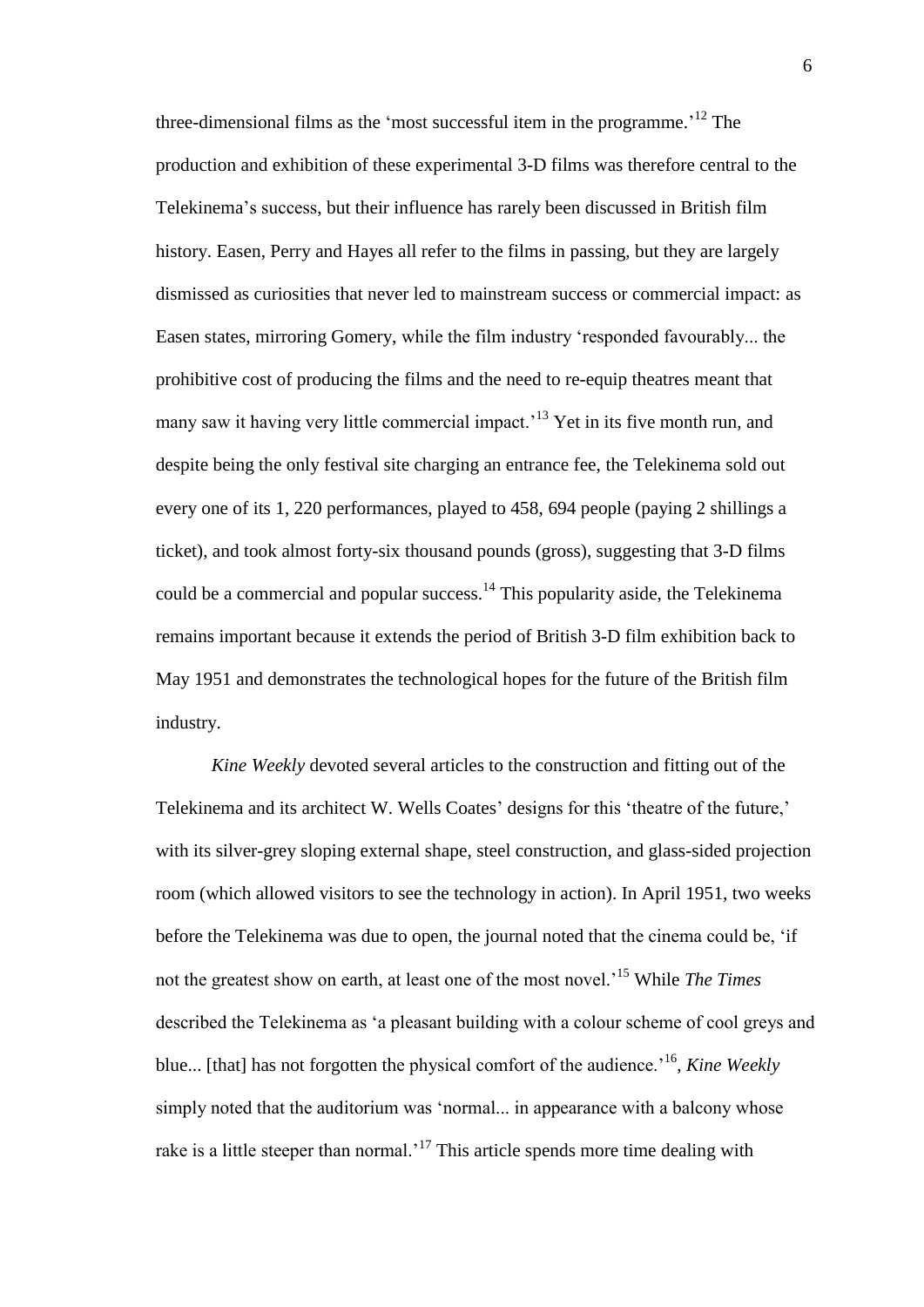three-dimensional films as the 'most successful item in the programme.<sup>'12</sup> The production and exhibition of these experimental 3-D films was therefore central to the Telekinema's success, but their influence has rarely been discussed in British film history. Easen, Perry and Hayes all refer to the films in passing, but they are largely dismissed as curiosities that never led to mainstream success or commercial impact: as Easen states, mirroring Gomery, while the film industry 'responded favourably... the prohibitive cost of producing the films and the need to re-equip theatres meant that many saw it having very little commercial impact.<sup>13</sup> Yet in its five month run, and despite being the only festival site charging an entrance fee, the Telekinema sold out every one of its 1, 220 performances, played to 458, 694 people (paying 2 shillings a ticket), and took almost forty-six thousand pounds (gross), suggesting that 3-D films could be a commercial and popular success.<sup>14</sup> This popularity aside, the Telekinema remains important because it extends the period of British 3-D film exhibition back to May 1951 and demonstrates the technological hopes for the future of the British film industry.

*Kine Weekly* devoted several articles to the construction and fitting out of the Telekinema and its architect W. Wells Coates' designs for this 'theatre of the future,' with its silver-grey sloping external shape, steel construction, and glass-sided projection room (which allowed visitors to see the technology in action). In April 1951, two weeks before the Telekinema was due to open, the journal noted that the cinema could be, 'if not the greatest show on earth, at least one of the most novel.'<sup>15</sup> While *The Times* described the Telekinema as 'a pleasant building with a colour scheme of cool greys and blue... [that] has not forgotten the physical comfort of the audience.'<sup>16</sup> , *Kine Weekly* simply noted that the auditorium was 'normal... in appearance with a balcony whose rake is a little steeper than normal.<sup>17</sup> This article spends more time dealing with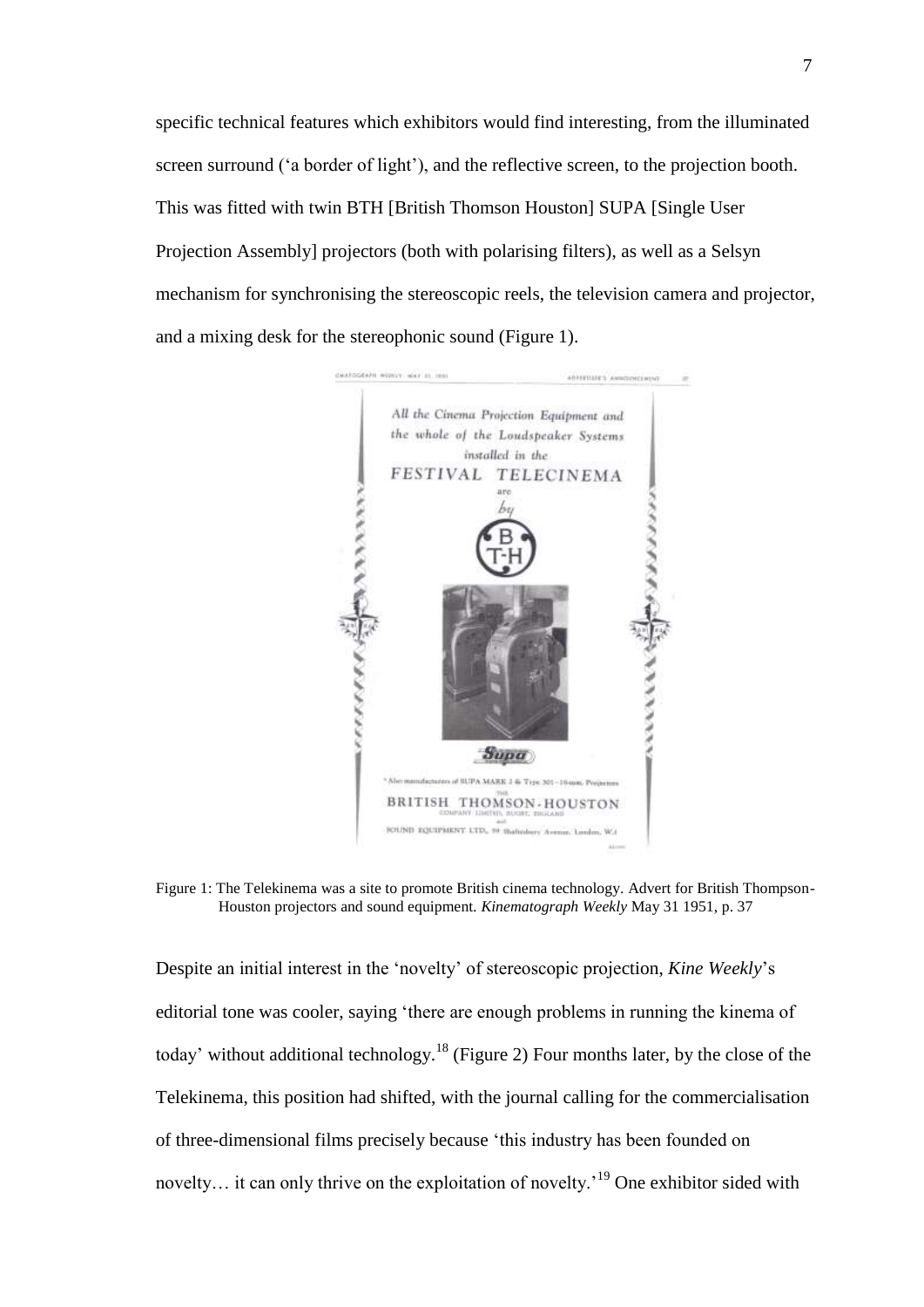specific technical features which exhibitors would find interesting, from the illuminated screen surround ('a border of light'), and the reflective screen, to the projection booth. This was fitted with twin BTH [British Thomson Houston] SUPA [Single User Projection Assembly] projectors (both with polarising filters), as well as a Selsyn mechanism for synchronising the stereoscopic reels, the television camera and projector, and a mixing desk for the stereophonic sound (Figure 1).



Figure 1: The Telekinema was a site to promote British cinema technology. Advert for British Thompson-Houston projectors and sound equipment. *Kinematograph Weekly* May 31 1951, p. 37

Despite an initial interest in the 'novelty' of stereoscopic projection, *Kine Weekly*'s editorial tone was cooler, saying 'there are enough problems in running the kinema of today' without additional technology.<sup>18</sup> (Figure 2) Four months later, by the close of the Telekinema, this position had shifted, with the journal calling for the commercialisation of three-dimensional films precisely because 'this industry has been founded on novelty... it can only thrive on the exploitation of novelty.<sup>19</sup> One exhibitor sided with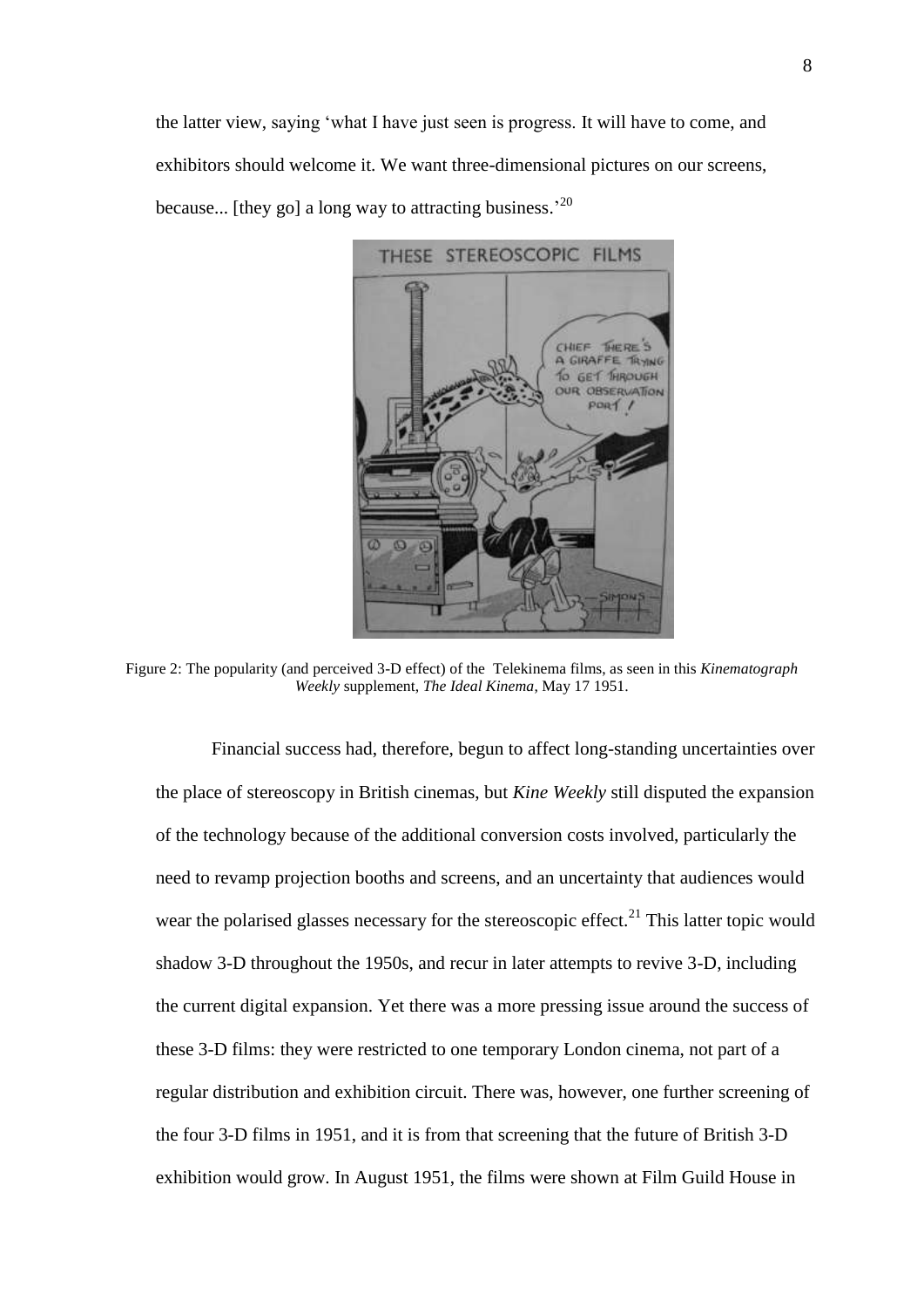the latter view, saying 'what I have just seen is progress. It will have to come, and exhibitors should welcome it. We want three-dimensional pictures on our screens, because... [they go] a long way to attracting business.<sup>20</sup>



Figure 2: The popularity (and perceived 3-D effect) of the Telekinema films, as seen in this *Kinematograph Weekly* supplement, *The Ideal Kinema*, May 17 1951.

Financial success had, therefore, begun to affect long-standing uncertainties over the place of stereoscopy in British cinemas, but *Kine Weekly* still disputed the expansion of the technology because of the additional conversion costs involved, particularly the need to revamp projection booths and screens, and an uncertainty that audiences would wear the polarised glasses necessary for the stereoscopic effect.<sup>21</sup> This latter topic would shadow 3-D throughout the 1950s, and recur in later attempts to revive 3-D, including the current digital expansion. Yet there was a more pressing issue around the success of these 3-D films: they were restricted to one temporary London cinema, not part of a regular distribution and exhibition circuit. There was, however, one further screening of the four 3-D films in 1951, and it is from that screening that the future of British 3-D exhibition would grow. In August 1951, the films were shown at Film Guild House in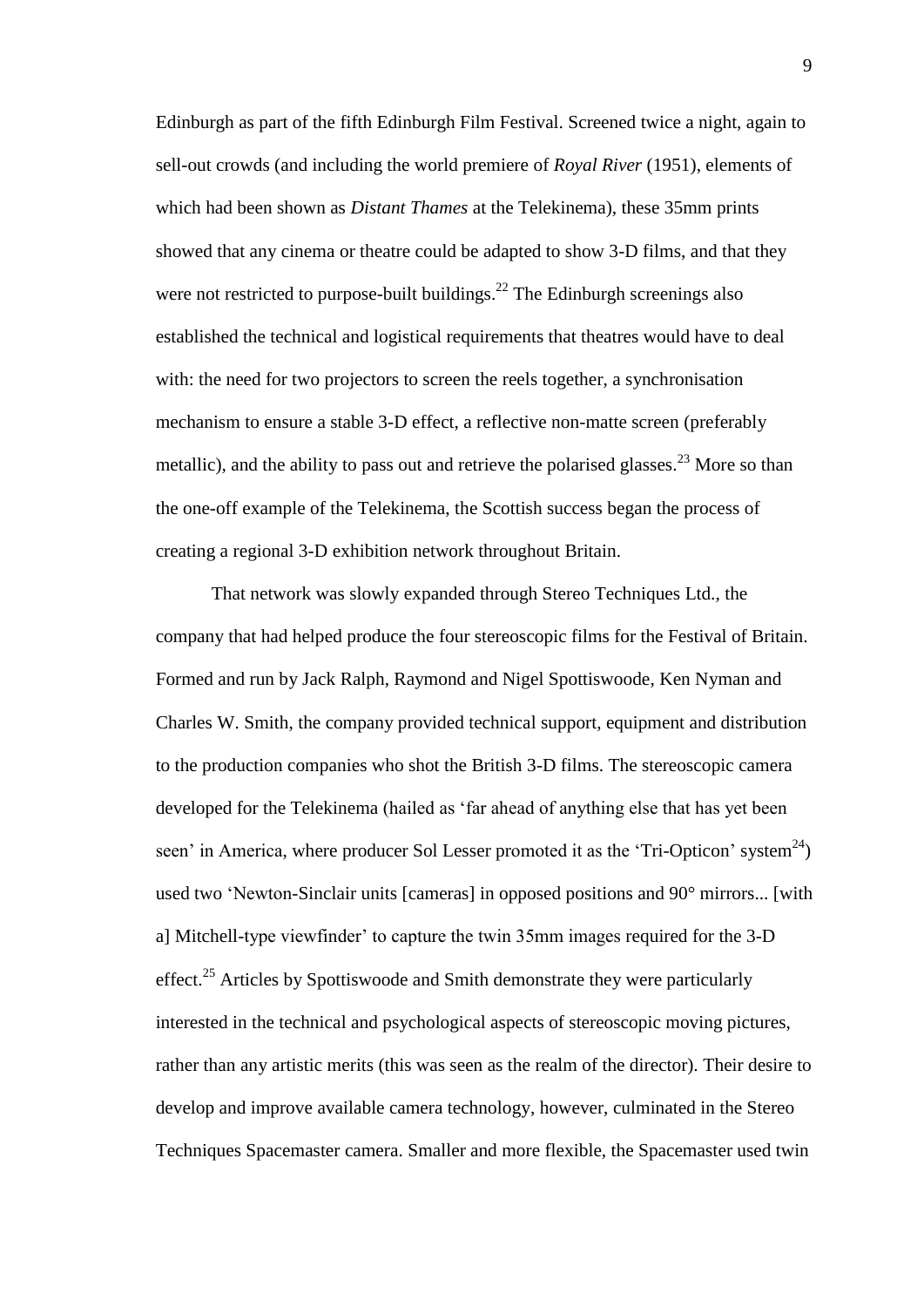Edinburgh as part of the fifth Edinburgh Film Festival. Screened twice a night, again to sell-out crowds (and including the world premiere of *Royal River* (1951), elements of which had been shown as *Distant Thames* at the Telekinema), these 35mm prints showed that any cinema or theatre could be adapted to show 3-D films, and that they were not restricted to purpose-built buildings.<sup>22</sup> The Edinburgh screenings also established the technical and logistical requirements that theatres would have to deal with: the need for two projectors to screen the reels together, a synchronisation mechanism to ensure a stable 3-D effect, a reflective non-matte screen (preferably metallic), and the ability to pass out and retrieve the polarised glasses.<sup>23</sup> More so than the one-off example of the Telekinema, the Scottish success began the process of creating a regional 3-D exhibition network throughout Britain.

That network was slowly expanded through Stereo Techniques Ltd., the company that had helped produce the four stereoscopic films for the Festival of Britain. Formed and run by Jack Ralph, Raymond and Nigel Spottiswoode, Ken Nyman and Charles W. Smith, the company provided technical support, equipment and distribution to the production companies who shot the British 3-D films. The stereoscopic camera developed for the Telekinema (hailed as 'far ahead of anything else that has yet been seen' in America, where producer Sol Lesser promoted it as the 'Tri-Opticon' system<sup>24</sup>) used two 'Newton-Sinclair units [cameras] in opposed positions and 90° mirrors... [with a] Mitchell-type viewfinder' to capture the twin 35mm images required for the 3-D effect.<sup>25</sup> Articles by Spottiswoode and Smith demonstrate they were particularly interested in the technical and psychological aspects of stereoscopic moving pictures, rather than any artistic merits (this was seen as the realm of the director). Their desire to develop and improve available camera technology, however, culminated in the Stereo Techniques Spacemaster camera. Smaller and more flexible, the Spacemaster used twin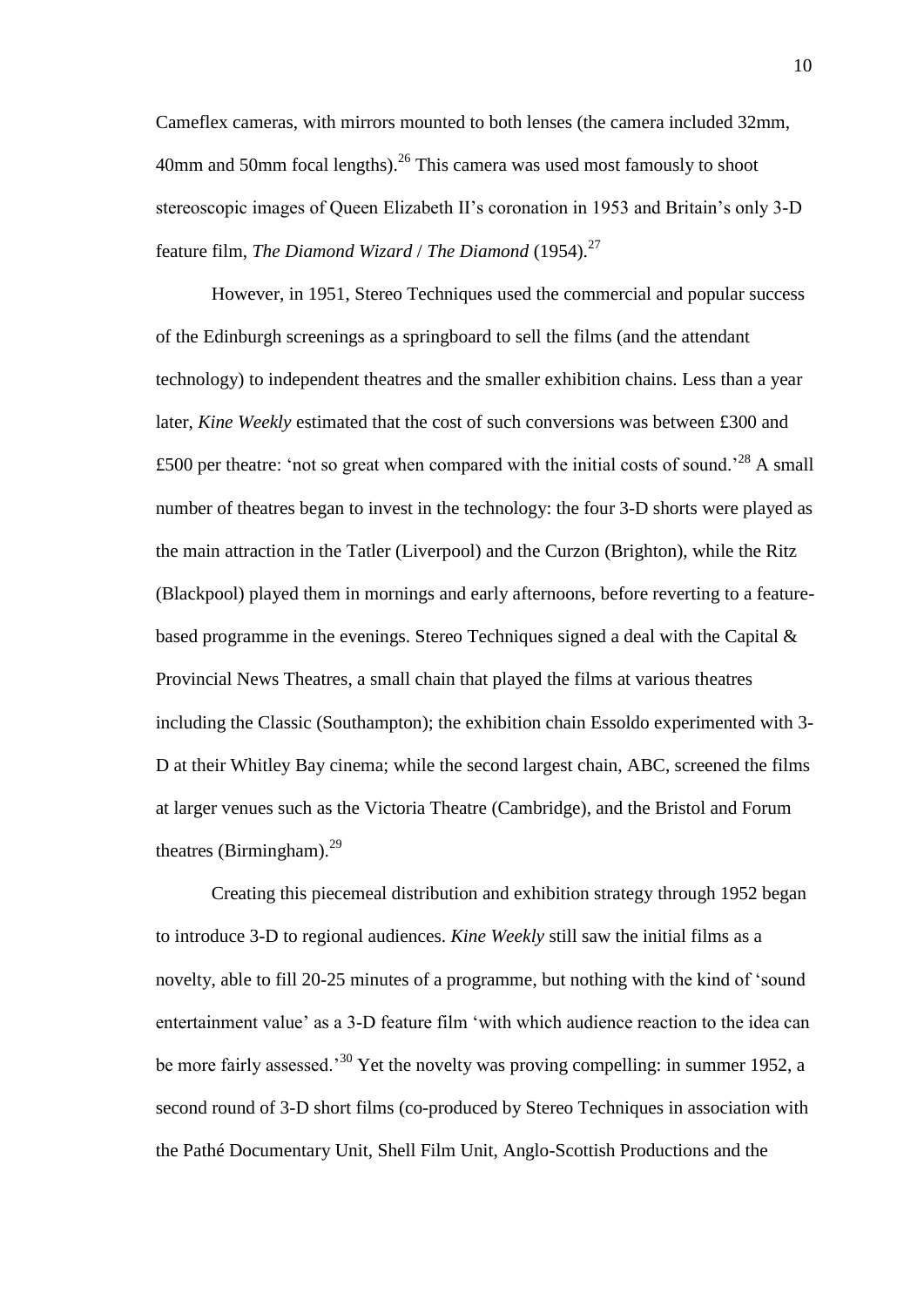Cameflex cameras, with mirrors mounted to both lenses (the camera included 32mm, 40mm and 50mm focal lengths).<sup>26</sup> This camera was used most famously to shoot stereoscopic images of Queen Elizabeth II's coronation in 1953 and Britain's only 3-D feature film, *The Diamond Wizard* / *The Diamond* (1954). 27

However, in 1951, Stereo Techniques used the commercial and popular success of the Edinburgh screenings as a springboard to sell the films (and the attendant technology) to independent theatres and the smaller exhibition chains. Less than a year later, *Kine Weekly* estimated that the cost of such conversions was between £300 and £500 per theatre: 'not so great when compared with the initial costs of sound.<sup>28</sup> A small number of theatres began to invest in the technology: the four 3-D shorts were played as the main attraction in the Tatler (Liverpool) and the Curzon (Brighton), while the Ritz (Blackpool) played them in mornings and early afternoons, before reverting to a featurebased programme in the evenings. Stereo Techniques signed a deal with the Capital & Provincial News Theatres, a small chain that played the films at various theatres including the Classic (Southampton); the exhibition chain Essoldo experimented with 3- D at their Whitley Bay cinema; while the second largest chain, ABC, screened the films at larger venues such as the Victoria Theatre (Cambridge), and the Bristol and Forum theatres (Birmingham).<sup>29</sup>

Creating this piecemeal distribution and exhibition strategy through 1952 began to introduce 3-D to regional audiences. *Kine Weekly* still saw the initial films as a novelty, able to fill 20-25 minutes of a programme, but nothing with the kind of 'sound entertainment value' as a 3-D feature film 'with which audience reaction to the idea can be more fairly assessed.<sup>30</sup> Yet the novelty was proving compelling: in summer 1952, a second round of 3-D short films (co-produced by Stereo Techniques in association with the Pathé Documentary Unit, Shell Film Unit, Anglo-Scottish Productions and the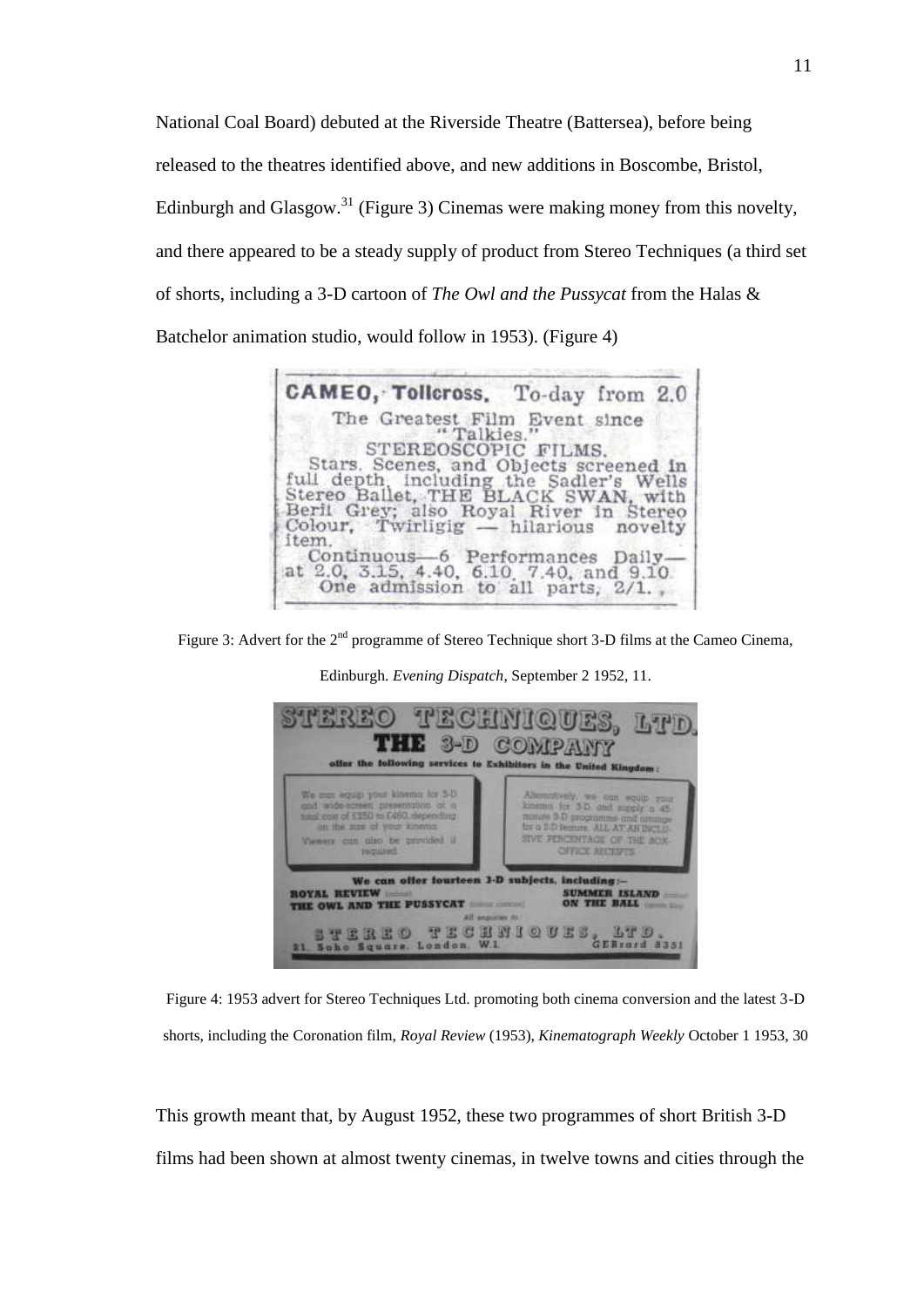National Coal Board) debuted at the Riverside Theatre (Battersea), before being released to the theatres identified above, and new additions in Boscombe, Bristol, Edinburgh and Glasgow.<sup>31</sup> (Figure 3) Cinemas were making money from this novelty, and there appeared to be a steady supply of product from Stereo Techniques (a third set of shorts, including a 3-D cartoon of *The Owl and the Pussycat* from the Halas & Batchelor animation studio, would follow in 1953). (Figure 4)



Figure 3: Advert for the 2<sup>nd</sup> programme of Stereo Technique short 3-D films at the Cameo Cinema,



Edinburgh. *Evening Dispatch*, September 2 1952, 11.

Figure 4: 1953 advert for Stereo Techniques Ltd. promoting both cinema conversion and the latest 3-D shorts, including the Coronation film, *Royal Review* (1953), *Kinematograph Weekly* October 1 1953, 30

This growth meant that, by August 1952, these two programmes of short British 3-D films had been shown at almost twenty cinemas, in twelve towns and cities through the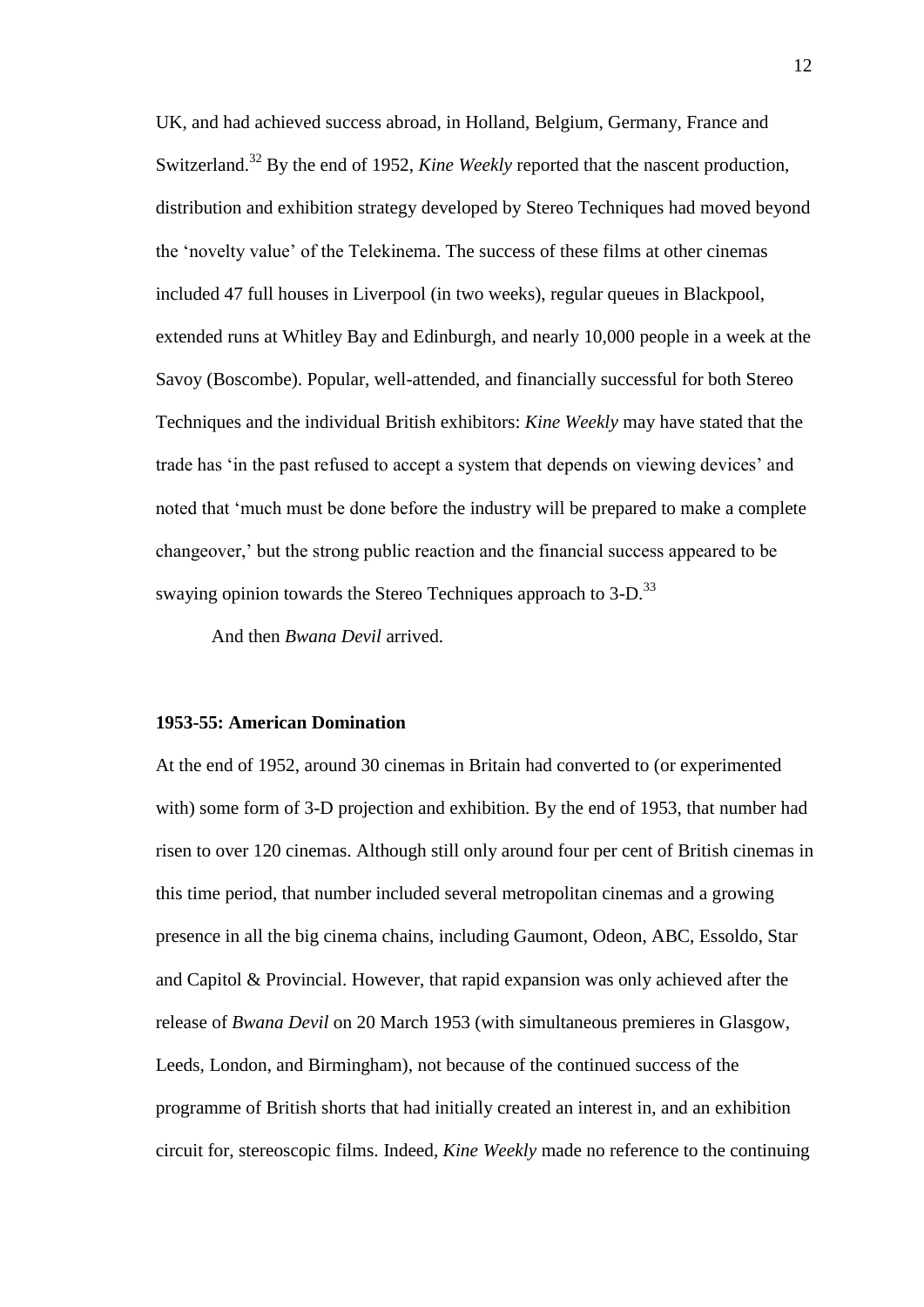UK, and had achieved success abroad, in Holland, Belgium, Germany, France and Switzerland.<sup>32</sup> By the end of 1952, *Kine Weekly* reported that the nascent production, distribution and exhibition strategy developed by Stereo Techniques had moved beyond the 'novelty value' of the Telekinema. The success of these films at other cinemas included 47 full houses in Liverpool (in two weeks), regular queues in Blackpool, extended runs at Whitley Bay and Edinburgh, and nearly 10,000 people in a week at the Savoy (Boscombe). Popular, well-attended, and financially successful for both Stereo Techniques and the individual British exhibitors: *Kine Weekly* may have stated that the trade has 'in the past refused to accept a system that depends on viewing devices' and noted that 'much must be done before the industry will be prepared to make a complete changeover,' but the strong public reaction and the financial success appeared to be swaying opinion towards the Stereo Techniques approach to 3-D.<sup>33</sup>

And then *Bwana Devil* arrived.

#### **1953-55: American Domination**

At the end of 1952, around 30 cinemas in Britain had converted to (or experimented with) some form of 3-D projection and exhibition. By the end of 1953, that number had risen to over 120 cinemas. Although still only around four per cent of British cinemas in this time period, that number included several metropolitan cinemas and a growing presence in all the big cinema chains, including Gaumont, Odeon, ABC, Essoldo, Star and Capitol & Provincial. However, that rapid expansion was only achieved after the release of *Bwana Devil* on 20 March 1953 (with simultaneous premieres in Glasgow, Leeds, London, and Birmingham), not because of the continued success of the programme of British shorts that had initially created an interest in, and an exhibition circuit for, stereoscopic films. Indeed, *Kine Weekly* made no reference to the continuing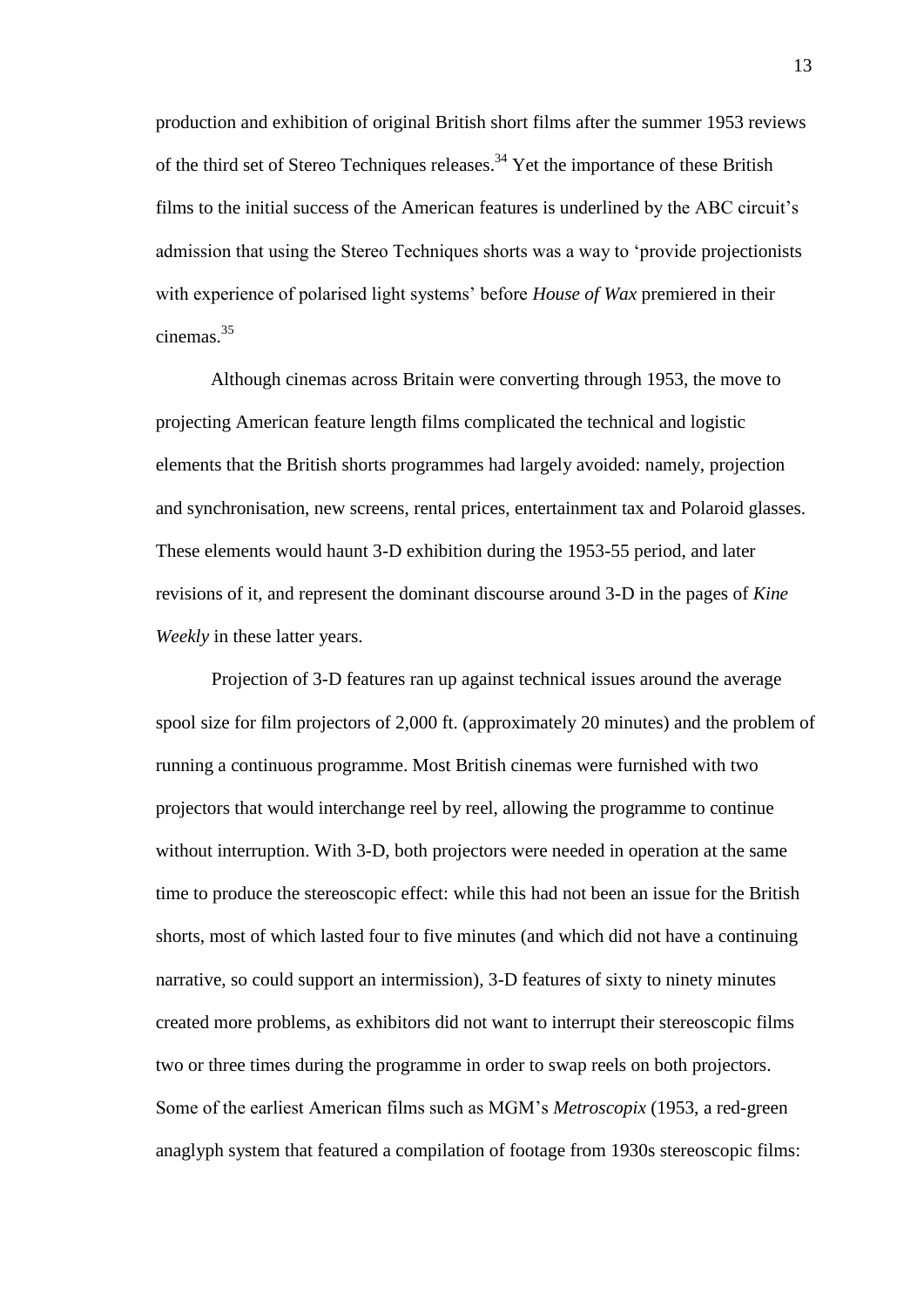production and exhibition of original British short films after the summer 1953 reviews of the third set of Stereo Techniques releases.<sup>34</sup> Yet the importance of these British films to the initial success of the American features is underlined by the ABC circuit's admission that using the Stereo Techniques shorts was a way to 'provide projectionists with experience of polarised light systems' before *House of Wax* premiered in their cinemas.<sup>35</sup>

Although cinemas across Britain were converting through 1953, the move to projecting American feature length films complicated the technical and logistic elements that the British shorts programmes had largely avoided: namely, projection and synchronisation, new screens, rental prices, entertainment tax and Polaroid glasses. These elements would haunt 3-D exhibition during the 1953-55 period, and later revisions of it, and represent the dominant discourse around 3-D in the pages of *Kine Weekly* in these latter years.

Projection of 3-D features ran up against technical issues around the average spool size for film projectors of 2,000 ft. (approximately 20 minutes) and the problem of running a continuous programme. Most British cinemas were furnished with two projectors that would interchange reel by reel, allowing the programme to continue without interruption. With 3-D, both projectors were needed in operation at the same time to produce the stereoscopic effect: while this had not been an issue for the British shorts, most of which lasted four to five minutes (and which did not have a continuing narrative, so could support an intermission), 3-D features of sixty to ninety minutes created more problems, as exhibitors did not want to interrupt their stereoscopic films two or three times during the programme in order to swap reels on both projectors. Some of the earliest American films such as MGM's *Metroscopix* (1953, a red-green anaglyph system that featured a compilation of footage from 1930s stereoscopic films: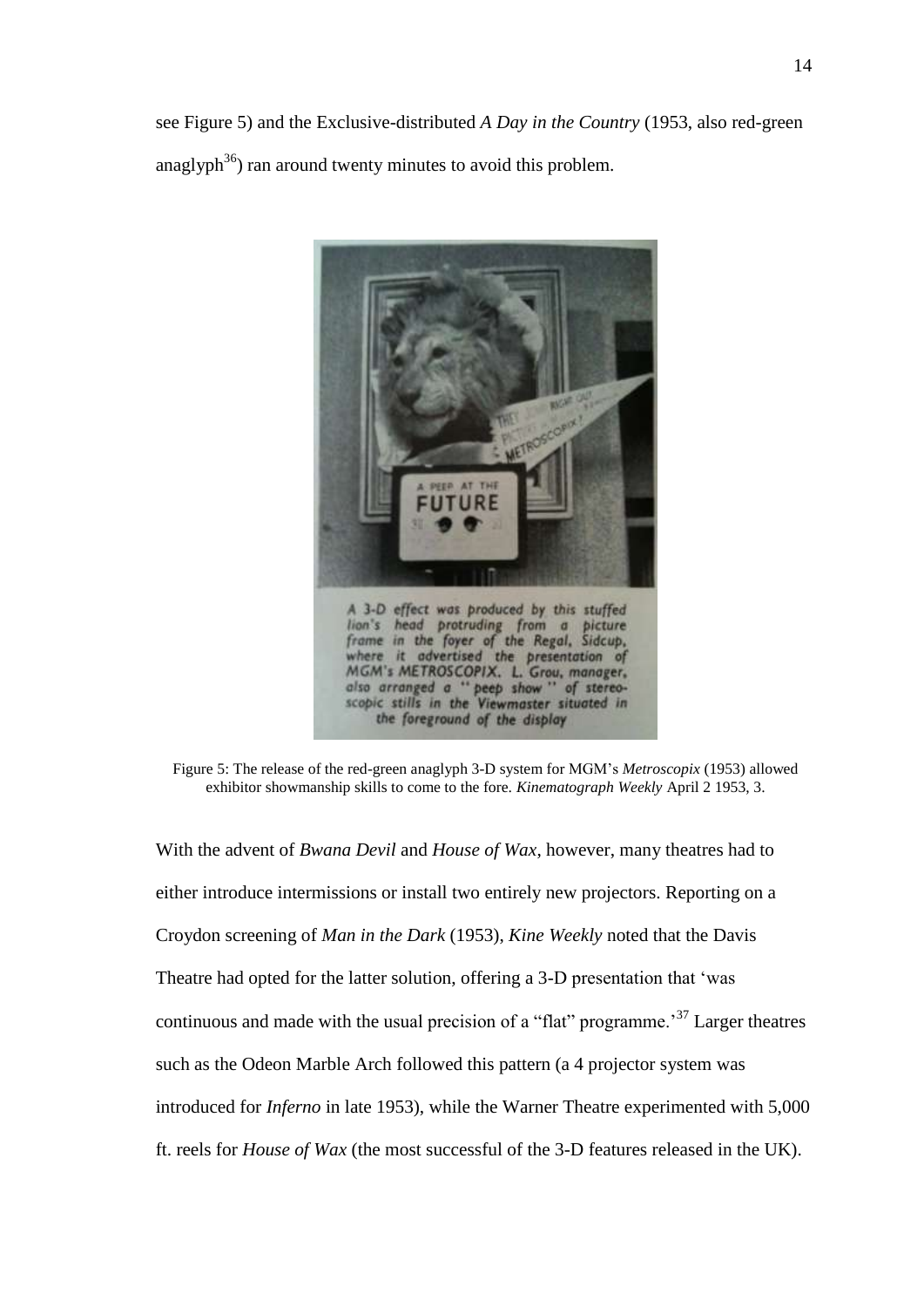

Figure 5: The release of the red-green anaglyph 3-D system for MGM's *Metroscopix* (1953) allowed exhibitor showmanship skills to come to the fore. *Kinematograph Weekly* April 2 1953, 3.

With the advent of *Bwana Devil* and *House of Wax*, however, many theatres had to either introduce intermissions or install two entirely new projectors. Reporting on a Croydon screening of *Man in the Dark* (1953), *Kine Weekly* noted that the Davis Theatre had opted for the latter solution, offering a 3-D presentation that 'was continuous and made with the usual precision of a "flat" programme.<sup>37</sup> Larger theatres such as the Odeon Marble Arch followed this pattern (a 4 projector system was introduced for *Inferno* in late 1953), while the Warner Theatre experimented with 5,000 ft. reels for *House of Wax* (the most successful of the 3-D features released in the UK).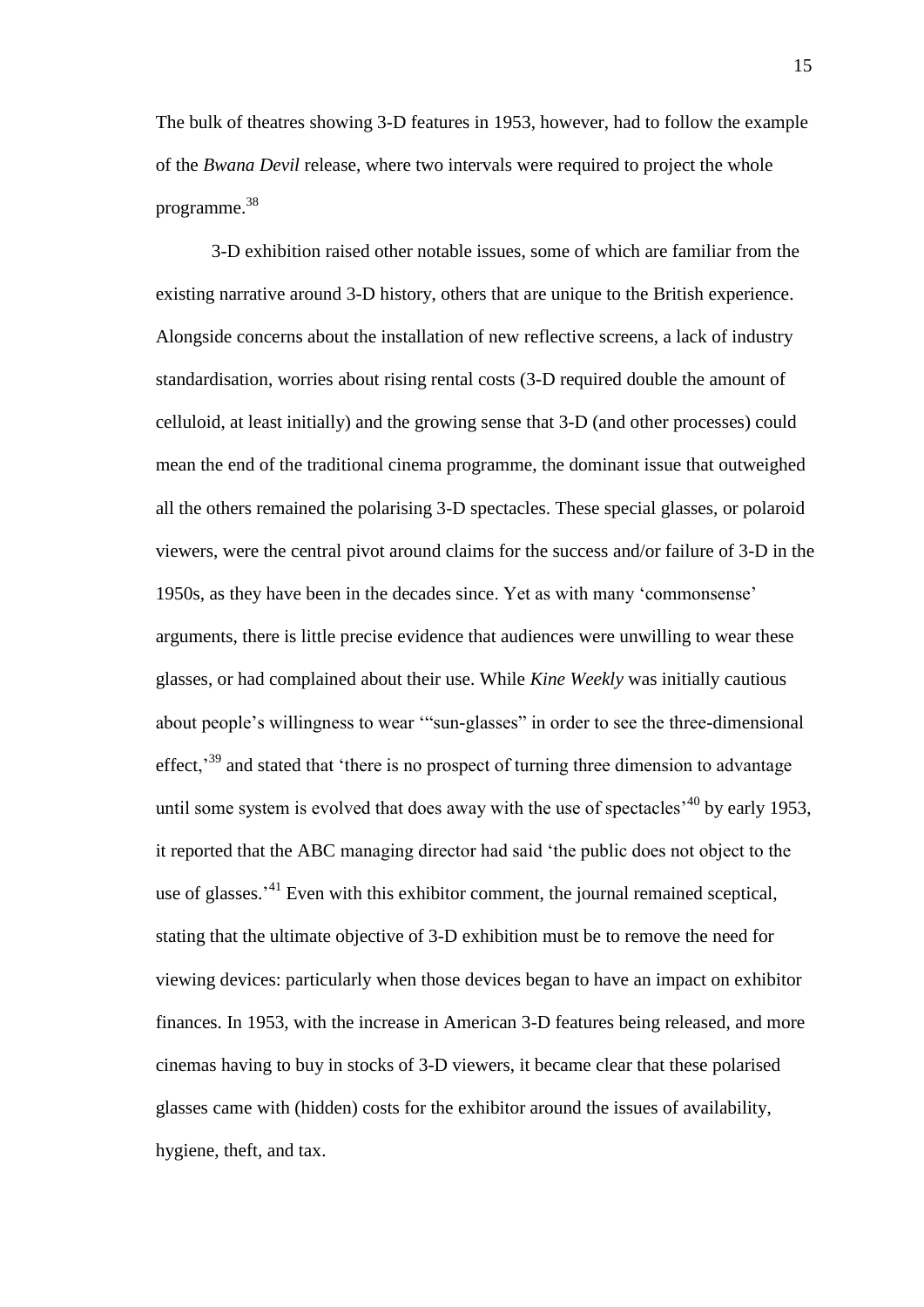The bulk of theatres showing 3-D features in 1953, however, had to follow the example of the *Bwana Devil* release, where two intervals were required to project the whole programme.<sup>38</sup>

3-D exhibition raised other notable issues, some of which are familiar from the existing narrative around 3-D history, others that are unique to the British experience. Alongside concerns about the installation of new reflective screens, a lack of industry standardisation, worries about rising rental costs (3-D required double the amount of celluloid, at least initially) and the growing sense that 3-D (and other processes) could mean the end of the traditional cinema programme, the dominant issue that outweighed all the others remained the polarising 3-D spectacles. These special glasses, or polaroid viewers, were the central pivot around claims for the success and/or failure of 3-D in the 1950s, as they have been in the decades since. Yet as with many 'commonsense' arguments, there is little precise evidence that audiences were unwilling to wear these glasses, or had complained about their use. While *Kine Weekly* was initially cautious about people's willingness to wear '"sun-glasses" in order to see the three-dimensional effect,<sup>39</sup> and stated that 'there is no prospect of turning three dimension to advantage until some system is evolved that does away with the use of spectacles<sup> $,40$ </sup> by early 1953, it reported that the ABC managing director had said 'the public does not object to the use of glasses.<sup>41</sup> Even with this exhibitor comment, the journal remained sceptical, stating that the ultimate objective of 3-D exhibition must be to remove the need for viewing devices: particularly when those devices began to have an impact on exhibitor finances. In 1953, with the increase in American 3-D features being released, and more cinemas having to buy in stocks of 3-D viewers, it became clear that these polarised glasses came with (hidden) costs for the exhibitor around the issues of availability, hygiene, theft, and tax.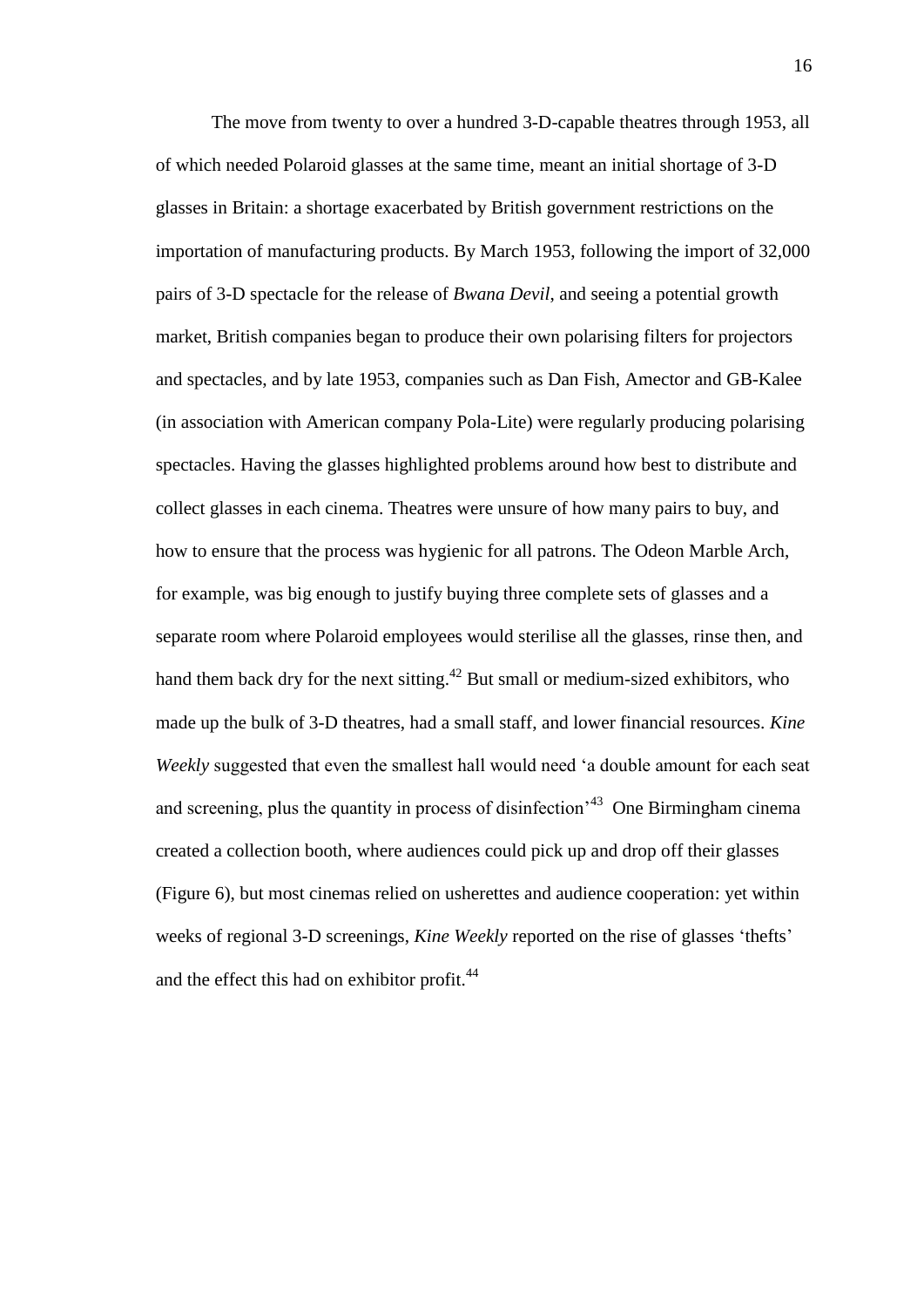The move from twenty to over a hundred 3-D-capable theatres through 1953, all of which needed Polaroid glasses at the same time, meant an initial shortage of 3-D glasses in Britain: a shortage exacerbated by British government restrictions on the importation of manufacturing products. By March 1953, following the import of 32,000 pairs of 3-D spectacle for the release of *Bwana Devil*, and seeing a potential growth market, British companies began to produce their own polarising filters for projectors and spectacles, and by late 1953, companies such as Dan Fish, Amector and GB-Kalee (in association with American company Pola-Lite) were regularly producing polarising spectacles. Having the glasses highlighted problems around how best to distribute and collect glasses in each cinema. Theatres were unsure of how many pairs to buy, and how to ensure that the process was hygienic for all patrons. The Odeon Marble Arch, for example, was big enough to justify buying three complete sets of glasses and a separate room where Polaroid employees would sterilise all the glasses, rinse then, and hand them back dry for the next sitting.<sup>42</sup> But small or medium-sized exhibitors, who made up the bulk of 3-D theatres, had a small staff, and lower financial resources. *Kine Weekly* suggested that even the smallest hall would need 'a double amount for each seat and screening, plus the quantity in process of disinfection<sup>43</sup> One Birmingham cinema created a collection booth, where audiences could pick up and drop off their glasses (Figure 6), but most cinemas relied on usherettes and audience cooperation: yet within weeks of regional 3-D screenings, *Kine Weekly* reported on the rise of glasses 'thefts' and the effect this had on exhibitor profit.<sup>44</sup>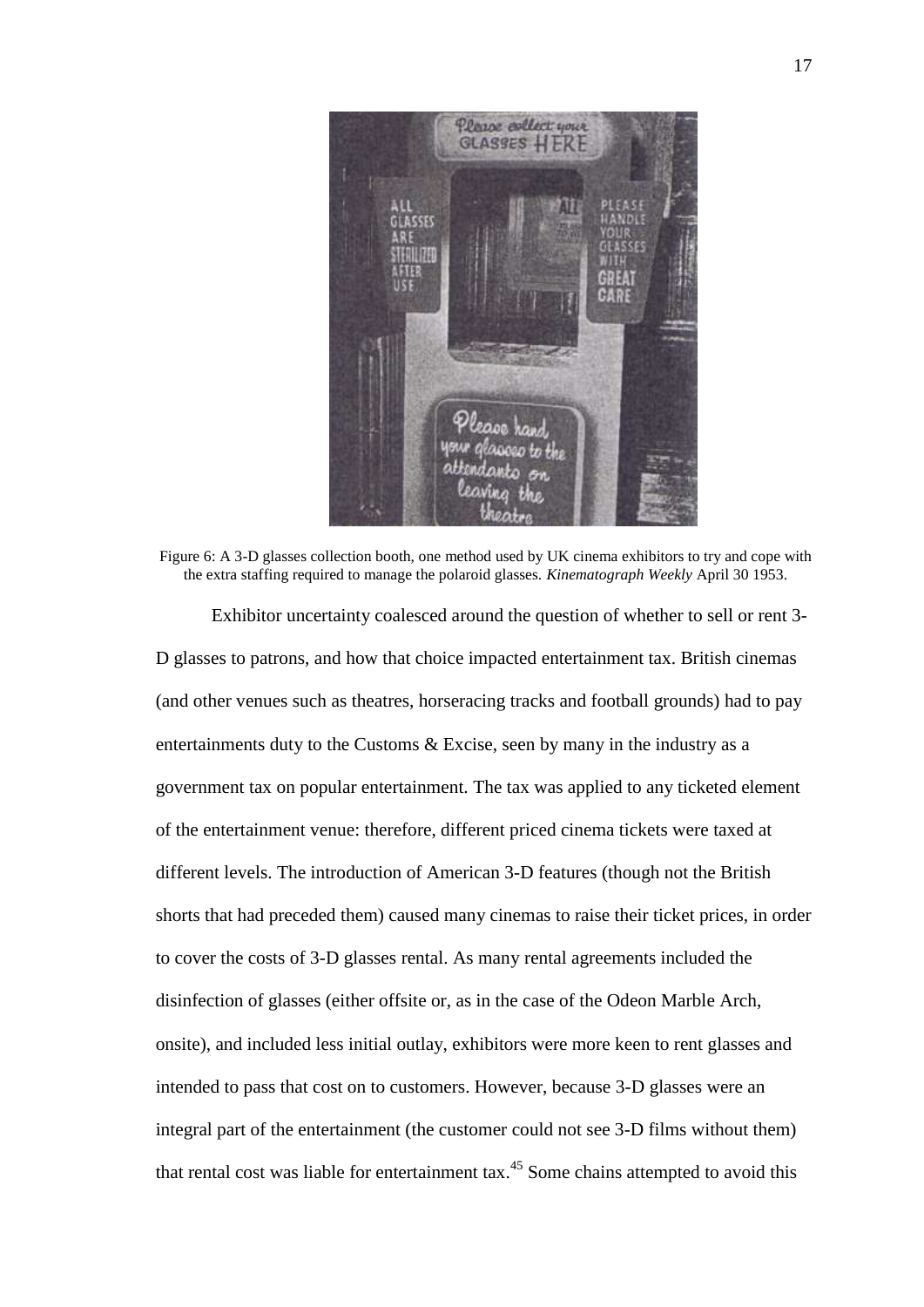

Figure 6: A 3-D glasses collection booth, one method used by UK cinema exhibitors to try and cope with the extra staffing required to manage the polaroid glasses. *Kinematograph Weekly* April 30 1953. Exhibitor uncertainty coalesced around the question of whether to sell or rent 3-

D glasses to patrons, and how that choice impacted entertainment tax. British cinemas (and other venues such as theatres, horseracing tracks and football grounds) had to pay entertainments duty to the Customs & Excise, seen by many in the industry as a government tax on popular entertainment. The tax was applied to any ticketed element of the entertainment venue: therefore, different priced cinema tickets were taxed at different levels. The introduction of American 3-D features (though not the British shorts that had preceded them) caused many cinemas to raise their ticket prices, in order to cover the costs of 3-D glasses rental. As many rental agreements included the disinfection of glasses (either offsite or, as in the case of the Odeon Marble Arch, onsite), and included less initial outlay, exhibitors were more keen to rent glasses and intended to pass that cost on to customers. However, because 3-D glasses were an integral part of the entertainment (the customer could not see 3-D films without them) that rental cost was liable for entertainment tax.<sup>45</sup> Some chains attempted to avoid this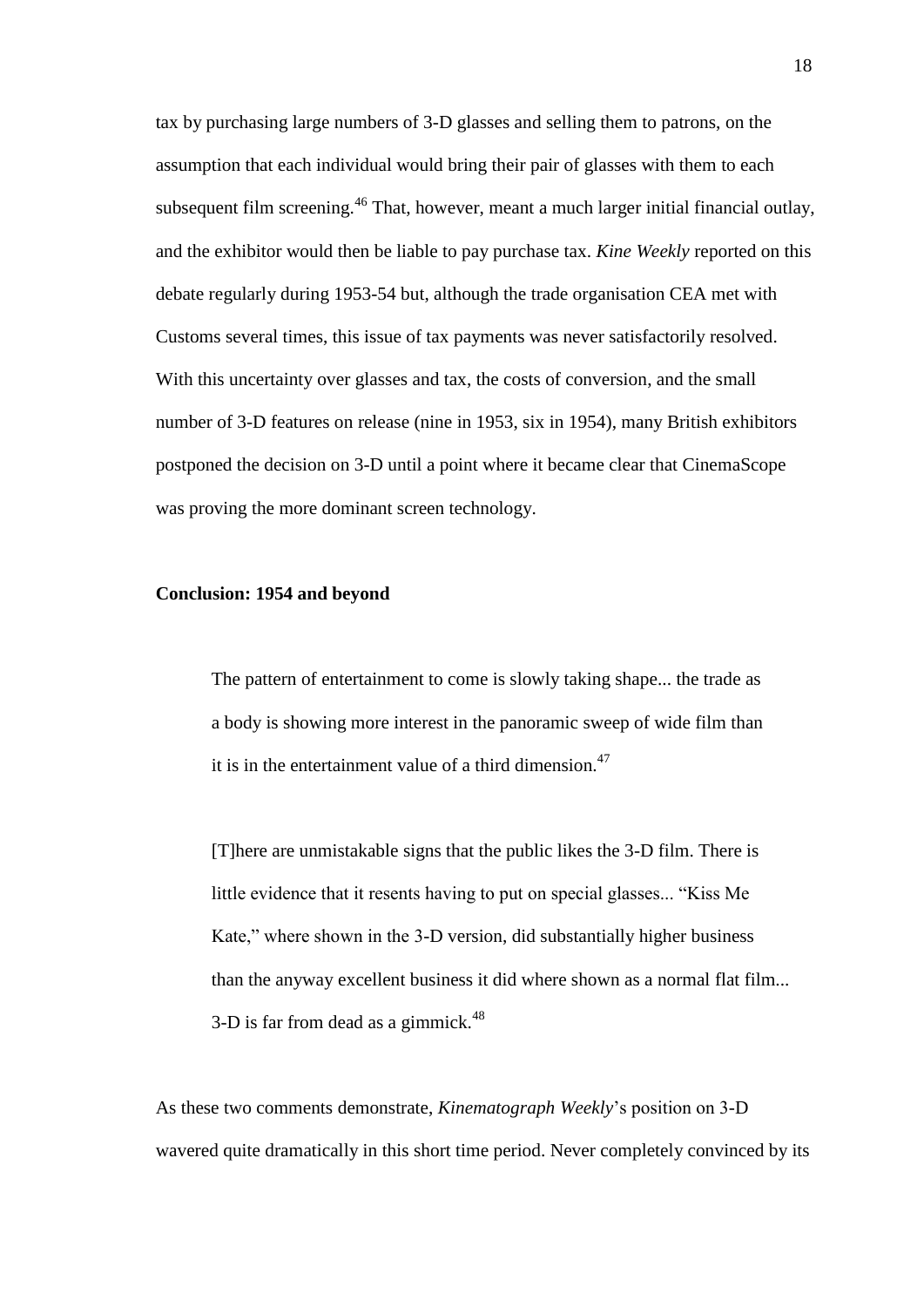tax by purchasing large numbers of 3-D glasses and selling them to patrons, on the assumption that each individual would bring their pair of glasses with them to each subsequent film screening.<sup>46</sup> That, however, meant a much larger initial financial outlay, and the exhibitor would then be liable to pay purchase tax. *Kine Weekly* reported on this debate regularly during 1953-54 but, although the trade organisation CEA met with Customs several times, this issue of tax payments was never satisfactorily resolved. With this uncertainty over glasses and tax, the costs of conversion, and the small number of 3-D features on release (nine in 1953, six in 1954), many British exhibitors postponed the decision on 3-D until a point where it became clear that CinemaScope was proving the more dominant screen technology.

### **Conclusion: 1954 and beyond**

The pattern of entertainment to come is slowly taking shape... the trade as a body is showing more interest in the panoramic sweep of wide film than it is in the entertainment value of a third dimension.<sup>47</sup>

[T]here are unmistakable signs that the public likes the 3-D film. There is little evidence that it resents having to put on special glasses... "Kiss Me Kate," where shown in the 3-D version, did substantially higher business than the anyway excellent business it did where shown as a normal flat film... 3-D is far from dead as a gimmick. $48$ 

As these two comments demonstrate, *Kinematograph Weekly*'s position on 3-D wavered quite dramatically in this short time period. Never completely convinced by its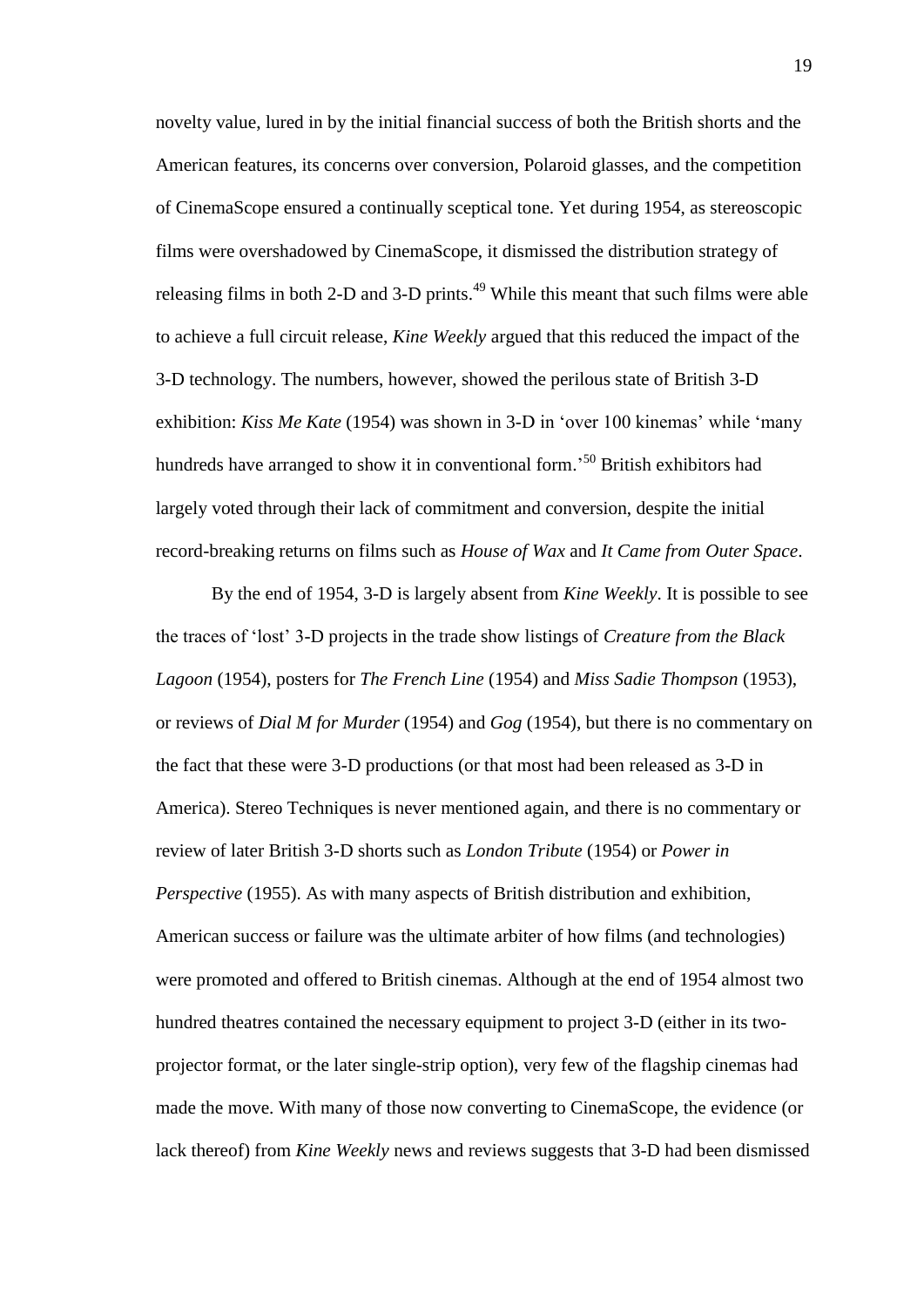novelty value, lured in by the initial financial success of both the British shorts and the American features, its concerns over conversion, Polaroid glasses, and the competition of CinemaScope ensured a continually sceptical tone. Yet during 1954, as stereoscopic films were overshadowed by CinemaScope, it dismissed the distribution strategy of releasing films in both 2-D and 3-D prints.<sup>49</sup> While this meant that such films were able to achieve a full circuit release, *Kine Weekly* argued that this reduced the impact of the 3-D technology. The numbers, however, showed the perilous state of British 3-D exhibition: *Kiss Me Kate* (1954) was shown in 3-D in 'over 100 kinemas' while 'many hundreds have arranged to show it in conventional form.<sup>50</sup> British exhibitors had largely voted through their lack of commitment and conversion, despite the initial record-breaking returns on films such as *House of Wax* and *It Came from Outer Space*.

By the end of 1954, 3-D is largely absent from *Kine Weekly*. It is possible to see the traces of 'lost' 3-D projects in the trade show listings of *Creature from the Black Lagoon* (1954), posters for *The French Line* (1954) and *Miss Sadie Thompson* (1953), or reviews of *Dial M for Murder* (1954) and *Gog* (1954), but there is no commentary on the fact that these were 3-D productions (or that most had been released as 3-D in America). Stereo Techniques is never mentioned again, and there is no commentary or review of later British 3-D shorts such as *London Tribute* (1954) or *Power in Perspective* (1955). As with many aspects of British distribution and exhibition, American success or failure was the ultimate arbiter of how films (and technologies) were promoted and offered to British cinemas. Although at the end of 1954 almost two hundred theatres contained the necessary equipment to project 3-D (either in its twoprojector format, or the later single-strip option), very few of the flagship cinemas had made the move. With many of those now converting to CinemaScope, the evidence (or lack thereof) from *Kine Weekly* news and reviews suggests that 3-D had been dismissed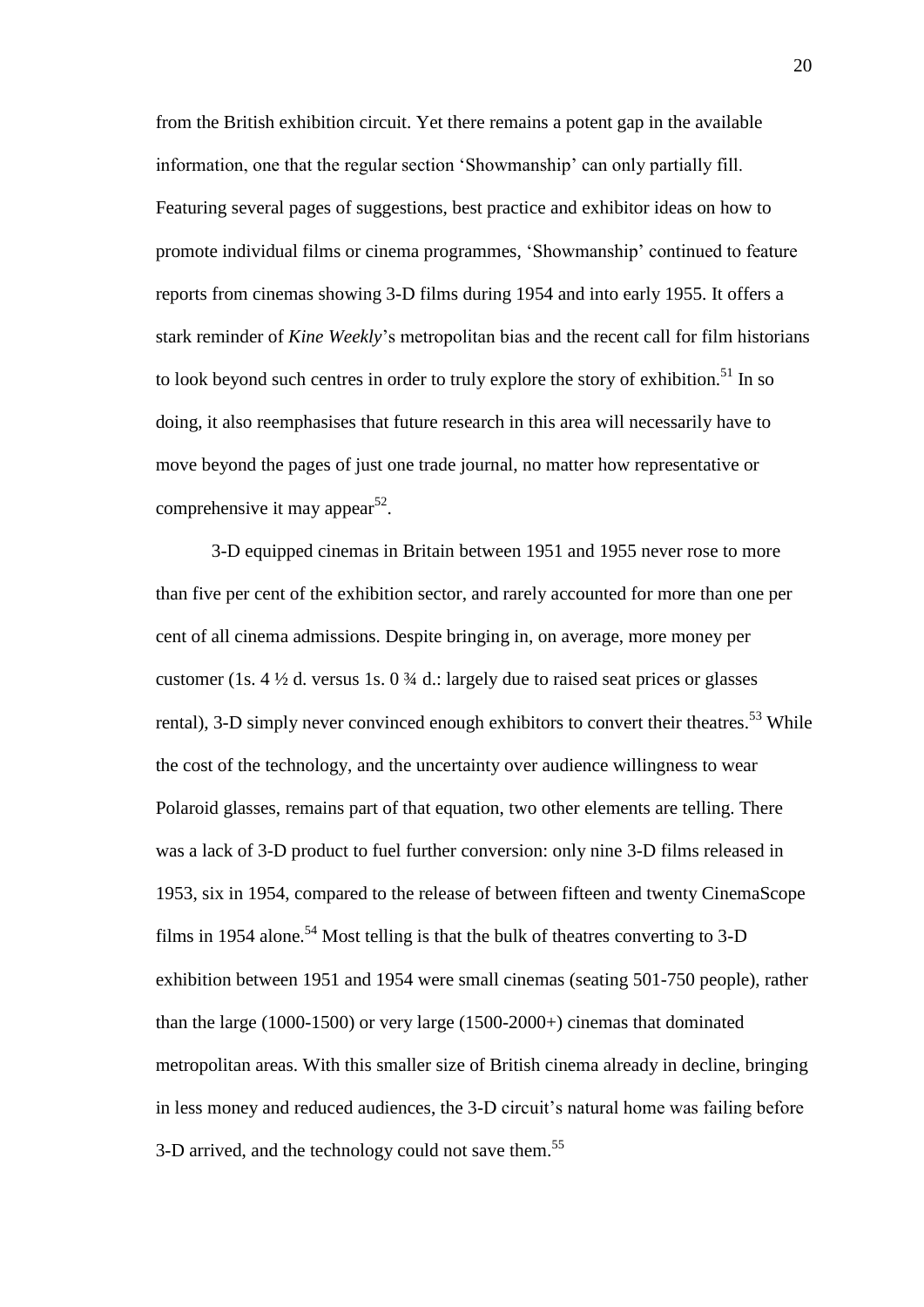from the British exhibition circuit. Yet there remains a potent gap in the available information, one that the regular section 'Showmanship' can only partially fill. Featuring several pages of suggestions, best practice and exhibitor ideas on how to promote individual films or cinema programmes, 'Showmanship' continued to feature reports from cinemas showing 3-D films during 1954 and into early 1955. It offers a stark reminder of *Kine Weekly*'s metropolitan bias and the recent call for film historians to look beyond such centres in order to truly explore the story of exhibition.<sup>51</sup> In so doing, it also reemphasises that future research in this area will necessarily have to move beyond the pages of just one trade journal, no matter how representative or comprehensive it may appear<sup>52</sup>.

3-D equipped cinemas in Britain between 1951 and 1955 never rose to more than five per cent of the exhibition sector, and rarely accounted for more than one per cent of all cinema admissions. Despite bringing in, on average, more money per customer (1s.  $4\frac{1}{2}$  d. versus 1s.  $0\frac{3}{4}$  d.: largely due to raised seat prices or glasses rental), 3-D simply never convinced enough exhibitors to convert their theatres.<sup>53</sup> While the cost of the technology, and the uncertainty over audience willingness to wear Polaroid glasses, remains part of that equation, two other elements are telling. There was a lack of 3-D product to fuel further conversion: only nine 3-D films released in 1953, six in 1954, compared to the release of between fifteen and twenty CinemaScope films in 1954 alone.<sup>54</sup> Most telling is that the bulk of theatres converting to 3-D exhibition between 1951 and 1954 were small cinemas (seating 501-750 people), rather than the large (1000-1500) or very large (1500-2000+) cinemas that dominated metropolitan areas. With this smaller size of British cinema already in decline, bringing in less money and reduced audiences, the 3-D circuit's natural home was failing before 3-D arrived, and the technology could not save them.<sup>55</sup>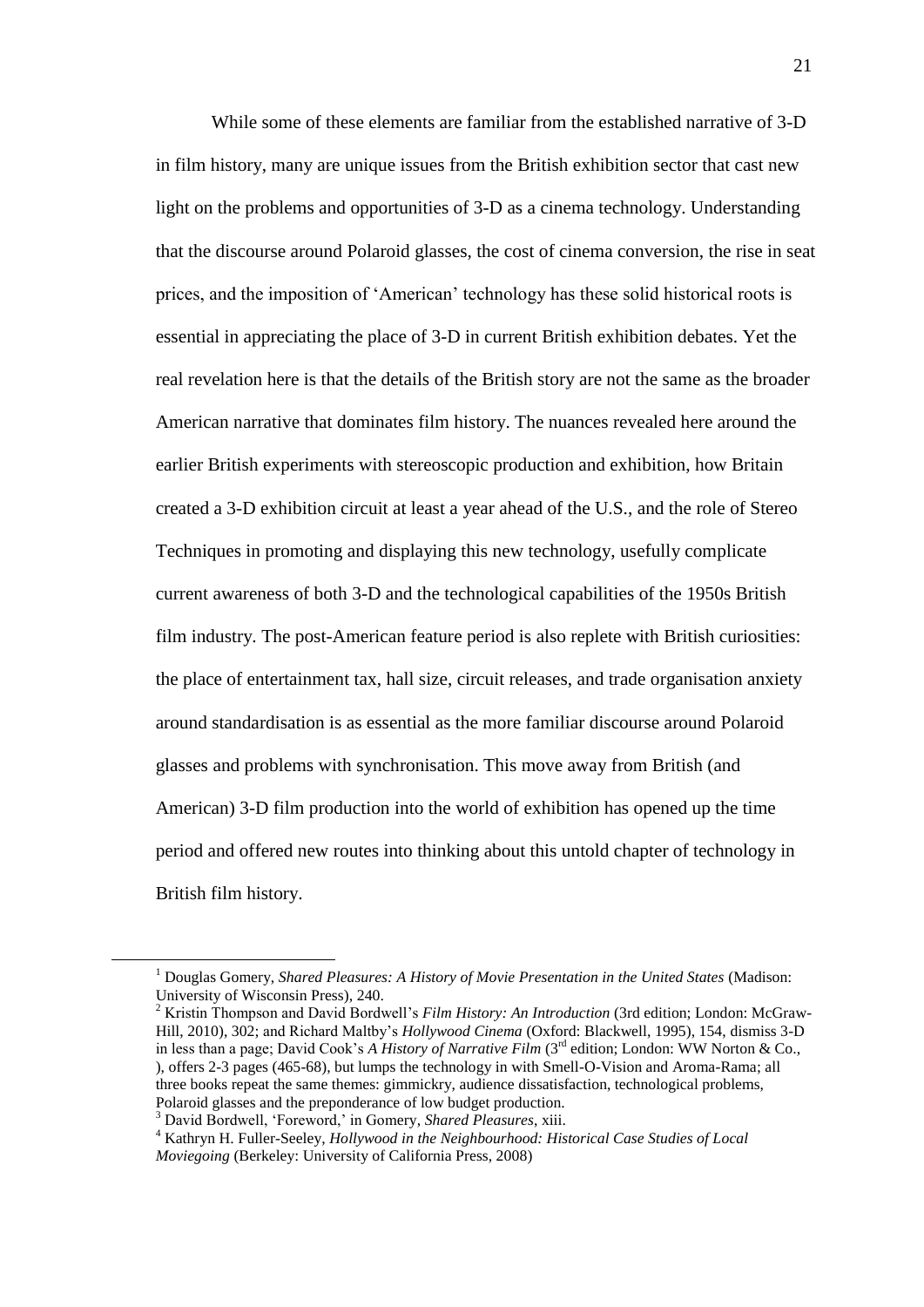While some of these elements are familiar from the established narrative of 3-D in film history, many are unique issues from the British exhibition sector that cast new light on the problems and opportunities of 3-D as a cinema technology. Understanding that the discourse around Polaroid glasses, the cost of cinema conversion, the rise in seat prices, and the imposition of 'American' technology has these solid historical roots is essential in appreciating the place of 3-D in current British exhibition debates. Yet the real revelation here is that the details of the British story are not the same as the broader American narrative that dominates film history. The nuances revealed here around the earlier British experiments with stereoscopic production and exhibition, how Britain created a 3-D exhibition circuit at least a year ahead of the U.S., and the role of Stereo Techniques in promoting and displaying this new technology, usefully complicate current awareness of both 3-D and the technological capabilities of the 1950s British film industry. The post-American feature period is also replete with British curiosities: the place of entertainment tax, hall size, circuit releases, and trade organisation anxiety around standardisation is as essential as the more familiar discourse around Polaroid glasses and problems with synchronisation. This move away from British (and American) 3-D film production into the world of exhibition has opened up the time period and offered new routes into thinking about this untold chapter of technology in British film history.

<u>.</u>

<sup>1</sup> Douglas Gomery, *Shared Pleasures: A History of Movie Presentation in the United States* (Madison: University of Wisconsin Press), 240.

<sup>2</sup> Kristin Thompson and David Bordwell's *Film History: An Introduction* (3rd edition; London: McGraw-Hill, 2010), 302; and Richard Maltby's *Hollywood Cinema* (Oxford: Blackwell, 1995), 154, dismiss 3-D in less than a page; David Cook's *A History of Narrative Film* (3<sup>rd</sup> edition; London: WW Norton & Co., ), offers 2-3 pages (465-68), but lumps the technology in with Smell-O-Vision and Aroma-Rama; all three books repeat the same themes: gimmickry, audience dissatisfaction, technological problems, Polaroid glasses and the preponderance of low budget production.

<sup>3</sup> David Bordwell, 'Foreword,' in Gomery, *Shared Pleasures*, xiii.

<sup>4</sup> Kathryn H. Fuller-Seeley, *Hollywood in the Neighbourhood: Historical Case Studies of Local Moviegoing* (Berkeley: University of California Press, 2008)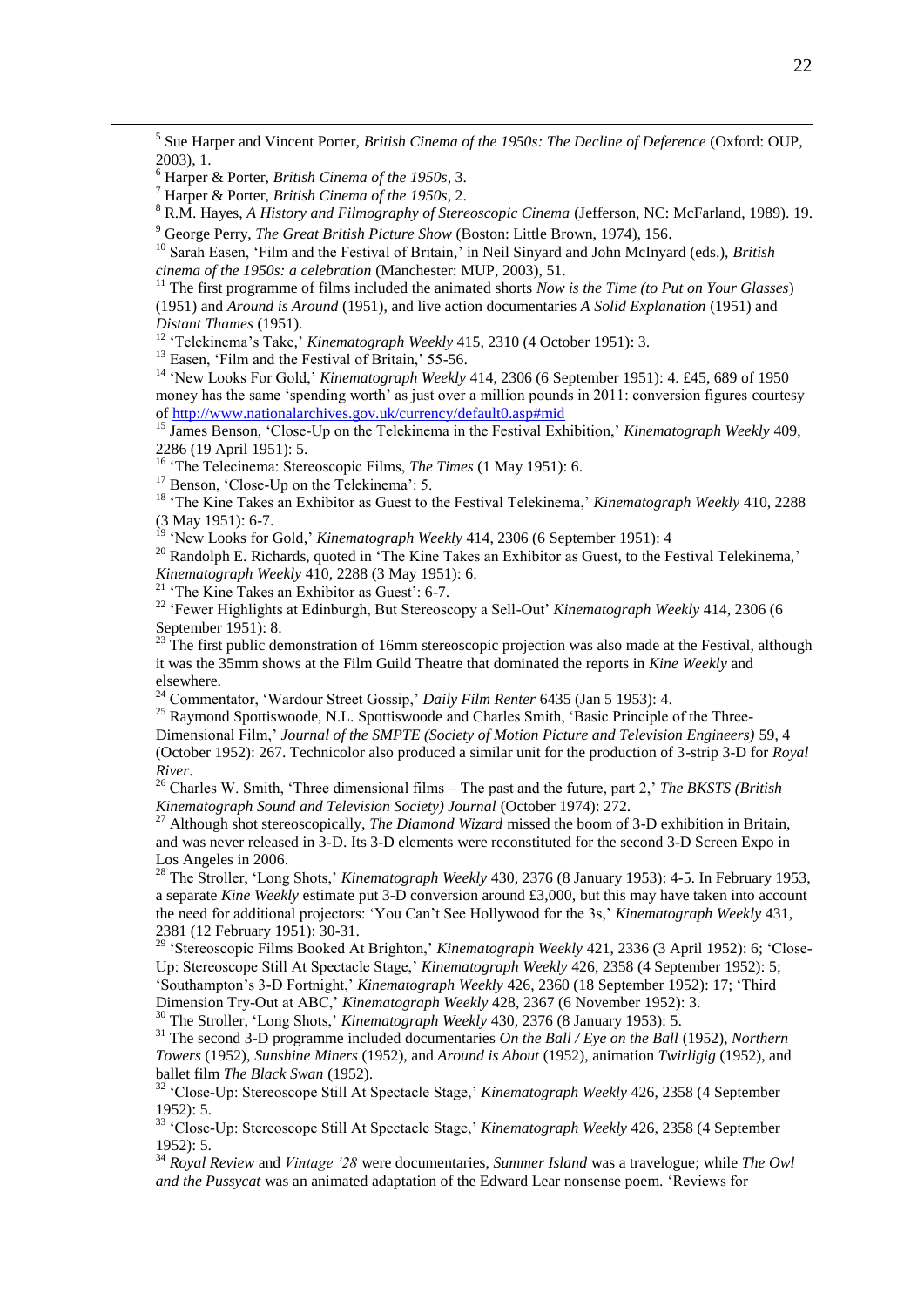5 Sue Harper and Vincent Porter, *British Cinema of the 1950s: The Decline of Deference* (Oxford: OUP, 2003), 1.

<u>.</u>

<sup>10</sup> Sarah Easen, 'Film and the Festival of Britain,' in Neil Sinyard and John McInyard (eds.), *British cinema of the 1950s: a celebration* (Manchester: MUP, 2003), 51.

<sup>11</sup> The first programme of films included the animated shorts *Now is the Time (to Put on Your Glasses)* (1951) and *Around is Around* (1951), and live action documentaries *A Solid Explanation* (1951) and *Distant Thames* (1951).

<sup>12</sup> 'Telekinema's Take,' *Kinematograph Weekly* 415, 2310 (4 October 1951): 3.

<sup>13</sup> Easen, 'Film and the Festival of Britain,' 55-56.

<sup>14</sup> 'New Looks For Gold,' *Kinematograph Weekly* 414, 2306 (6 September 1951): 4. £45, 689 of 1950 money has the same 'spending worth' as just over a million pounds in 2011: conversion figures courtesy of<http://www.nationalarchives.gov.uk/currency/default0.asp#mid>

<sup>15</sup> James Benson, 'Close-Up on the Telekinema in the Festival Exhibition,' *Kinematograph Weekly* 409, 2286 (19 April 1951): 5.

<sup>16</sup> 'The Telecinema: Stereoscopic Films, *The Times* (1 May 1951): 6.

<sup>17</sup> Benson, 'Close-Up on the Telekinema': 5.

<sup>18</sup> 'The Kine Takes an Exhibitor as Guest to the Festival Telekinema,' *Kinematograph Weekly* 410, 2288 (3 May 1951): 6-7.

<sup>19</sup> 'New Looks for Gold,' *Kinematograph Weekly* 414, 2306 (6 September 1951): 4

<sup>20</sup> Randolph E. Richards, quoted in 'The Kine Takes an Exhibitor as Guest, to the Festival Telekinema,' *Kinematograph Weekly* 410, 2288 (3 May 1951): 6.

<sup>21</sup> 'The Kine Takes an Exhibitor as Guest': 6-7.

<sup>22</sup> 'Fewer Highlights at Edinburgh, But Stereoscopy a Sell-Out' *Kinematograph Weekly* 414, 2306 (6 September 1951): 8.<br> $^{23}$  Tu

The first public demonstration of 16mm stereoscopic projection was also made at the Festival, although it was the 35mm shows at the Film Guild Theatre that dominated the reports in *Kine Weekly* and elsewhere.

<sup>24</sup> Commentator, 'Wardour Street Gossip,' *Daily Film Renter* 6435 (Jan 5 1953): 4.

<sup>25</sup> Raymond Spottiswoode, N.L. Spottiswoode and Charles Smith, 'Basic Principle of the Three-Dimensional Film,' *Journal of the SMPTE (Society of Motion Picture and Television Engineers)* 59, 4 (October 1952): 267. Technicolor also produced a similar unit for the production of 3-strip 3-D for *Royal River*.

<sup>26</sup> Charles W. Smith, 'Three dimensional films – The past and the future, part 2,' *The BKSTS (British Kinematograph Sound and Television Society) Journal* (October 1974): 272.

<sup>27</sup> Although shot stereoscopically, *The Diamond Wizard* missed the boom of 3-D exhibition in Britain, and was never released in 3-D. Its 3-D elements were reconstituted for the second 3-D Screen Expo in Los Angeles in 2006.

<sup>28</sup> The Stroller, 'Long Shots,' *Kinematograph Weekly* 430, 2376 (8 January 1953): 4-5. In February 1953, a separate *Kine Weekly* estimate put 3-D conversion around £3,000, but this may have taken into account the need for additional projectors: 'You Can't See Hollywood for the 3s,' *Kinematograph Weekly* 431, 2381 (12 February 1951): 30-31.

<sup>29</sup> 'Stereoscopic Films Booked At Brighton,' *Kinematograph Weekly* 421, 2336 (3 April 1952): 6; 'Close-Up: Stereoscope Still At Spectacle Stage,' *Kinematograph Weekly* 426, 2358 (4 September 1952): 5; 'Southampton's 3-D Fortnight,' *Kinematograph Weekly* 426, 2360 (18 September 1952): 17; 'Third Dimension Try-Out at ABC,' *Kinematograph Weekly* 428, 2367 (6 November 1952): 3.

<sup>30</sup> The Stroller, 'Long Shots,' *Kinematograph Weekly* 430, 2376 (8 January 1953): 5.

<sup>31</sup> The second 3-D programme included documentaries *On the Ball / Eye on the Ball* (1952), *Northern Towers* (1952), *Sunshine Miners* (1952), and *Around is About* (1952), animation *Twirligig* (1952), and ballet film *The Black Swan* (1952).

<sup>32</sup> 'Close-Up: Stereoscope Still At Spectacle Stage,' *Kinematograph Weekly* 426, 2358 (4 September 1952): 5.

<sup>33</sup> 'Close-Up: Stereoscope Still At Spectacle Stage,' *Kinematograph Weekly* 426, 2358 (4 September 1952): 5.

<sup>34</sup> *Royal Review* and *Vintage '28* were documentaries, *Summer Island* was a travelogue; while *The Owl and the Pussycat* was an animated adaptation of the Edward Lear nonsense poem. 'Reviews for

<sup>6</sup> Harper & Porter, *British Cinema of the 1950s*, 3.

<sup>7</sup> Harper & Porter, *British Cinema of the 1950s*, 2.

<sup>8</sup> R.M. Hayes, *A History and Filmography of Stereoscopic Cinema* (Jefferson, NC: McFarland, 1989). 19. <sup>9</sup> George Perry, *The Great British Picture Show* (Boston: Little Brown, 1974), 156.